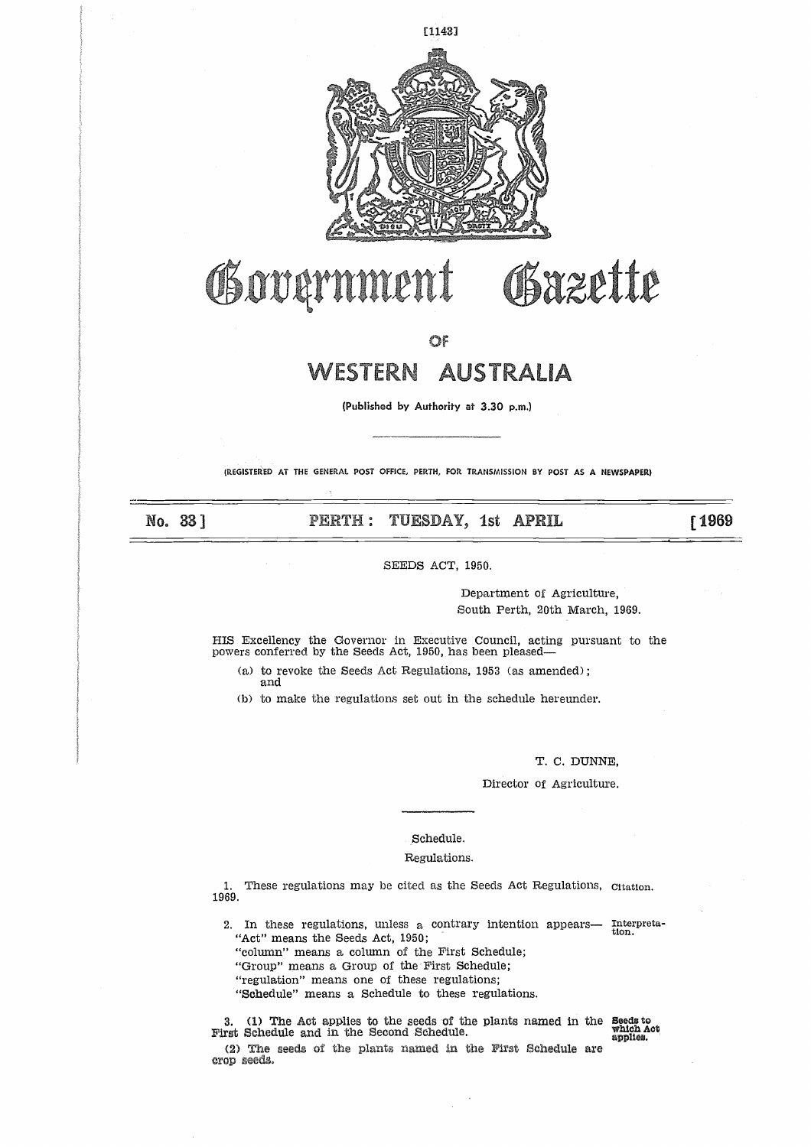

# **Jo(**

OF

# **WESTERN AUSTRALIA**

**(Published** by Authority at 3.30 p.m.)

(REGISTERED AT **THE GENERAL POST OFFICE, PERTH, FOR TRANSMISSION BY POST AS A NEWSPAPER)**

No. 33 ]

**PERTH: TUESDAY, 1st APRIL 61969** 

SEEDS ACT, 1950.

Department of Agriculture, South Perth, 20th March, 1969.

Bazette

HIS Excellency the Governor in Executive Council, acting pursuant to the powers conferred by the Seeds Act, 1950, has been pleased

(a) to revoke the Seeds Act Regulations, 1953 (as amended); and

(b) to make the regulations set out in the schedule hereunder.

T. C. DUNNE,

Director of Agriculture.

### Schedule.

### Regulations.

1. These regulations may be cited as the Seeds Act Regulations, Citation. 1969.

2. In these regulations, unless a contrary intention appears— Interpreta-<br> $t(t)$  at the start and  $\frac{1050}{100}$ . Sch<br>
Regu<br>
These regulations may be cited<br>
.<br>
In these regulations, unless a<br>
"Act" means the Seeds Act, 1950;<br>
"column" means a column of the<br>
"Group" means a Group of the Firegulation" means one of these

"column" means a column of the First Schedule;

"Group" means a Group of the First Schedule;

"regulation" means one of these regulations;

"Schedule" means a Schedule to these regulations.

hese regulations may be cit<br>
1 these regulations, unless<br>
ct" means the Seeds Act, 19<br>
lumn" means a column of<br>
roup" means a Group of th<br>
gulation" means one of the<br>
chedule" means a Schedule<br>
1) The Act applies to the s<br> 3. (1) The Act applies to the seeds of the plants named in the **Seeds** to (2) The seeds of the plants named in the First Schedule are crop seeds.

which Aot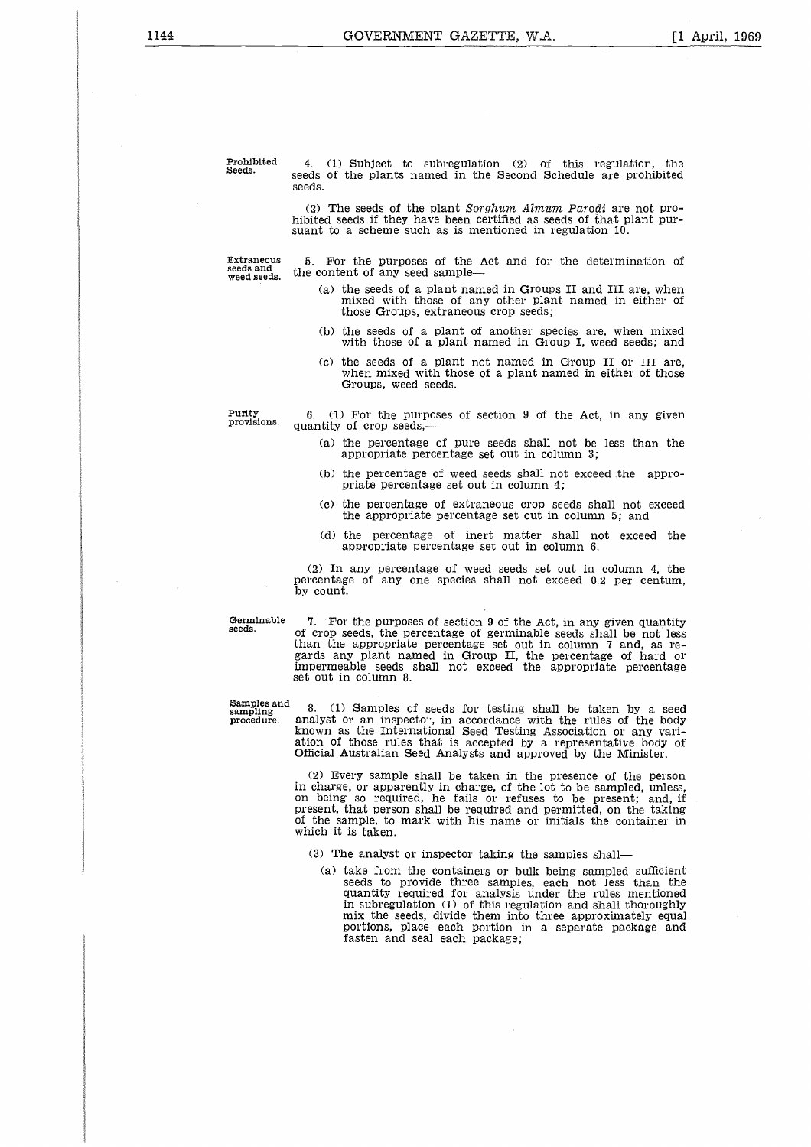**Prohibited Seeds.**

4. (1) Subject to subregulation (2) of this regulation, the seeds of the plants named in the Second Schedule are prohibited seeds.

(2) The seeds of the plant *Sorghum Almum Parocli* are not prohibited seeds if they have been certified as seeds of that plant pursuant to a scheme such as is mentioned in regulation 10.

**Extraneous seeds and weed seeds.**

5. For the purposes of the Act and for the determination of the content of any seed sample

- (a) the seeds of a plant named in Groups II and III are, when mixed with those of any other plant named in either of those Groups, extraneous crop seeds;
- (b) the seeds of a plant of another species are, when mixed with those of a plant named in Group I, weed seeds; and
- (c) the seeds of a plant not named in Group II or III are, when mixed with those of a plant named in either of those Groups, weed seeds.

**Purity provisions.**

6. (1) For the purposes of section 9 of the Act, in any given quantity of crop seeds,

- (a) the percentage of pure seeds shall not be less than the appropriate percentage set out in column 3;
- (b) the percentage of weed seeds shall not exceed .the appropriate percentage set out in column 4;
- (c) the percentage of extraneous crop seeds shall not exceed the appropriate percentage set out in column 5; and
- (d) the percentage of inert matter shall not exceed the appropriate percentage set out in column 6.

(2) In any percentage of weed seeds set out in column 4, the percentage of any one species shall not exceed 0.2 per centum, by count.

**Germinable seeds.**

7. 'For the purposes of section 9 of the Act, in any given quantity of crop seeds, the percentage of germinable seeds shall be not less than the appropriate percentage set out in column 7 and, as regards any plant named in Group II, the percentage of hard of impermeable seeds shall not exceed the appropriate percentage set out in column 8.

**Samples** and Germinab<br>seeds.<br>Samples a<br>sampling<br>procedure

8. (1) Samples of seeds for testing shall be taken by a seed procedure. analyst or an inspector, in accordance with the rules of the body known as the International Seed Testing Association or any variation of those rules that is accepted by a representative body of Official Australian Seed Analysts and approved by the Minister.

> (2) Every sample shall be taken in the presence of the person in charge, or apparently in charge, of the lot to be sampled, unless, on being so required, he fails or refuses to be present; and, if present, that person shall be required and permitted, on the taking of the sample, to mark with his name or initials the container in which it is taken.

(3) The analyst or inspector taking the samples shall

(a) take from the containers or bulk being sampled sufficient seeds to provide three samples, each not less than the quantity required for analysis under the rules mentioned in subregulation (1) of this regulation and shall thoroughly mix the seeds, divide them into three approximately equal portions, place each portion in a separate package and fasten and seal each package;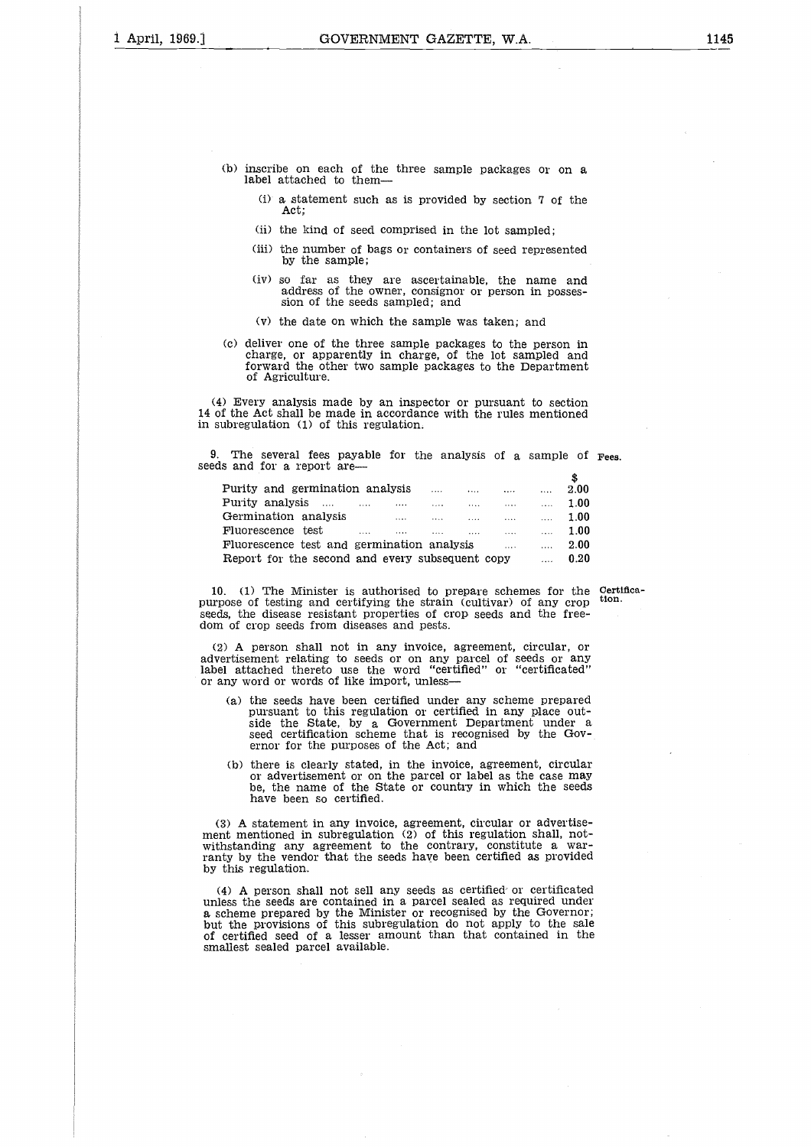- (b) inscribe on each of the three sample packages or on a label attached to them-
	- $(i)$  a statement such as is provided by section 7 of the Act;
	- (ii) the kind of seed comprised in the lot sampled;
	- (iii) the number of bags or containers of seed represented by the sample;
	- (iv) so far as they are ascertainable, the name and address of the owner, consignor or person in possession of the seeds sampled; and
	- (v) the date on which the sample was taken; and
- (c) deliver one of the three sample packages to the person in charge, or apparently in charge, of the lot sampled and forward the other two sample packages to the Department of Agriculture.

(4) Every analysis made by an inspector or pursuant to section 14 of the Act shall be made in accordance with the rules mentioned in subregulation (1) of this regulation.

9. The several fees payable for the analysis of a sample of **Fees.** seeds and for a report are

| c the net shall be made in accordance while the rules including<br>abregulation (1) of this regulation. |          |          |          |                                                                                      |      |
|---------------------------------------------------------------------------------------------------------|----------|----------|----------|--------------------------------------------------------------------------------------|------|
| The several fees payable for the analysis of a sample of<br>s and for a report are—                     |          |          |          |                                                                                      |      |
|                                                                                                         |          |          |          |                                                                                      |      |
| Purity and germination analysis                                                                         |          |          |          | and the state of the state of the state of                                           | 2.00 |
| Purity analysis                                                                                         | $\cdots$ | $\cdots$ |          | $\mathbf{r}$ and $\mathbf{r}$ are all $\mathbf{r}$ and $\mathbf{r}$ and $\mathbf{r}$ | 1.00 |
| Germination analysis                                                                                    | $\sim$   | $\ldots$ | $\cdots$ | $\ldots$                                                                             | 1.00 |
| Fluorescence test                                                                                       |          | .        | $\cdots$ | $\cdots$                                                                             | 1.00 |
| Fluorescence test and germination analysis                                                              |          |          | $\cdots$ | $\sim$ $\sim$                                                                        | 2.00 |
| Report for the second and every subsequent copy                                                         |          |          |          |                                                                                      | 0.20 |

10. (1) The Minister is authorised to prepare schemes for the **certifies-**purpose of testing and certifying the strain (cultivar) of any crop **tion.** seeds, the disease resistant properties of crop seeds and the freedom of crop seeds from diseases and pests.

(2) A person shall not in any invoice, agreement, circular, or advertisement relating to seeds or on any parcel of seeds or any label attached thereto use the word "certified" or "certificated" or any word or words of like import, unless

- (a) the seeds have been certified under any scheme prepared pursuant to this regulation or certified in any place outside the State, by a Government Department under a seed certification scheme that is recognised by the Governor for the purposes of the Act; and
- (b) there is clearly stated, in the invoice, agreement, circular or advertisement or on the parcel or label as the case may be, the name of the State or country in which the seeds have been so certified.

(3) A statement in any invoice, agreement, circular or advertisement mentioned in subregulation (2) of this regulation shall, notwithstanding any agreement to the contrary, constitute a warranty by the vendor that the seeds have been certified as provided by this regulation.

(4) A person shall not sell any seeds as certified or certificated unless the seeds are contained in a parcel sealed as required under a scheme prepared by the Minister or recognised by the Governor; but the provisions of this subregulation do not apply to the sale of certified seed of a lesser amount than that contained in the smallest sealed parcel available.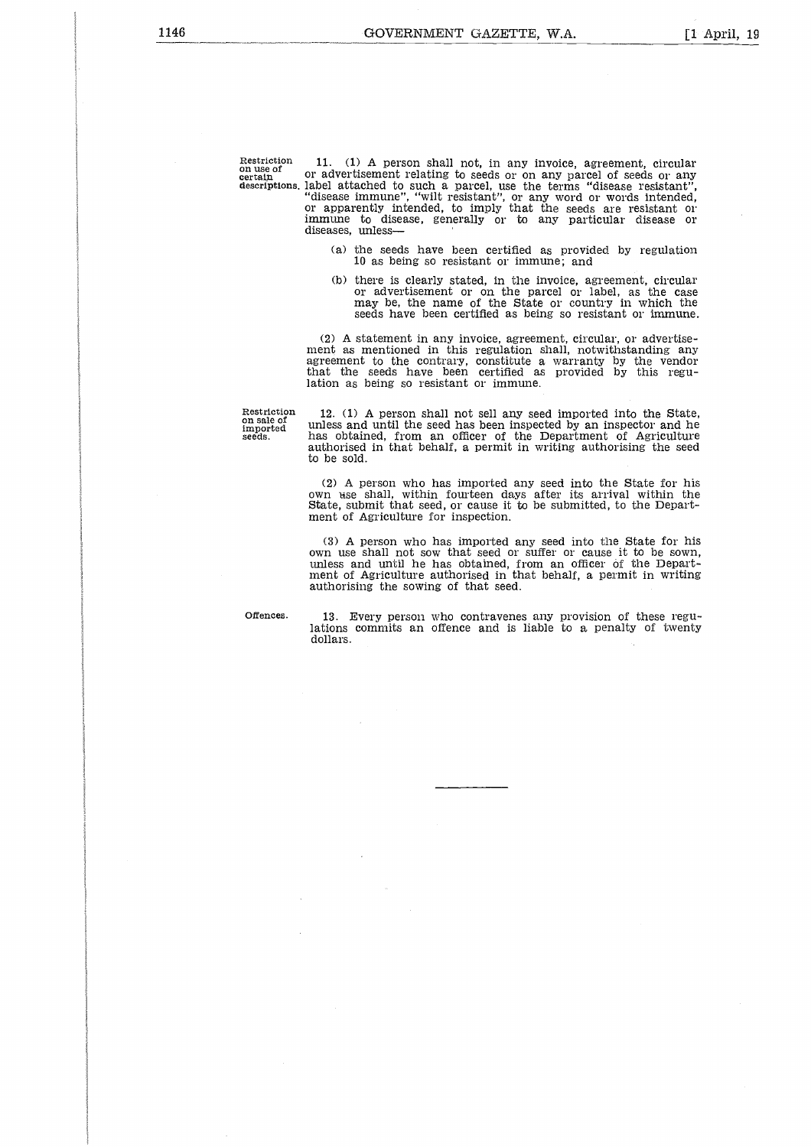Restriction<br>on use of<br>certain<br>descriptions *certain* Restrictio<br>**on use of**<br>certain<br>descriptio

11. (1) A person shall not, in any invoice, agreement, circular or advertisement relating to seeds or on any parcel of seeds or any descriptions. label attached to such a parcel, use the terms "disease resistant", "disease immune", "wilt resistant", or any word or words intended, or apparently intended, to imply that the seeds are resistant or immune to disease, generally or to any particular disease or diseases, unless

- (a) the seeds have been certified as provided by regulation 10 as being so resistant or immune; and
- (b) there is clearly stated, in the invoice, agreement, circular or advertisement or on the parcel or label, as the case may be, the name of the State or country in which the seeds have been certified as being so resistant or immune.

(2) A statement in any invoice, agreement, circular, or advertisement as mentioned in this regulation shall, notwithstanding any agreement to the contrary, constitute a warranty by the vendor that the seeds have been certified as provided by this regulation as being so resistant or immune.

Restriction on sale of imported seeds.

12. (1) A person shall not sell any seed imported into the State, unless and until the seed has been inspected by an inspector and he has obtained, from an officer of the Department of Agriculture authorised in that behalf, a permit in writing authorising the seed to be sold.

(2) A person who has imported any seed into the State for *his* own bise shall, within fourteen days after its arrival within the State, submit that seed, or cause it to be submitted, to the Department of Agriculture for inspection.

(3) A person who has imported any seed into the State for his own use shall not sow that seed or suffer or cause it to be sown, unless and until he has obtained, from an officer of the Department of Agriculture authorised in that behalf, a permit in writing authorising the sowing of that seed.

Offences. 13. Every person who contravenes any provision of these regu-lations commits an offence and is liable to a penalty of twenty dollars.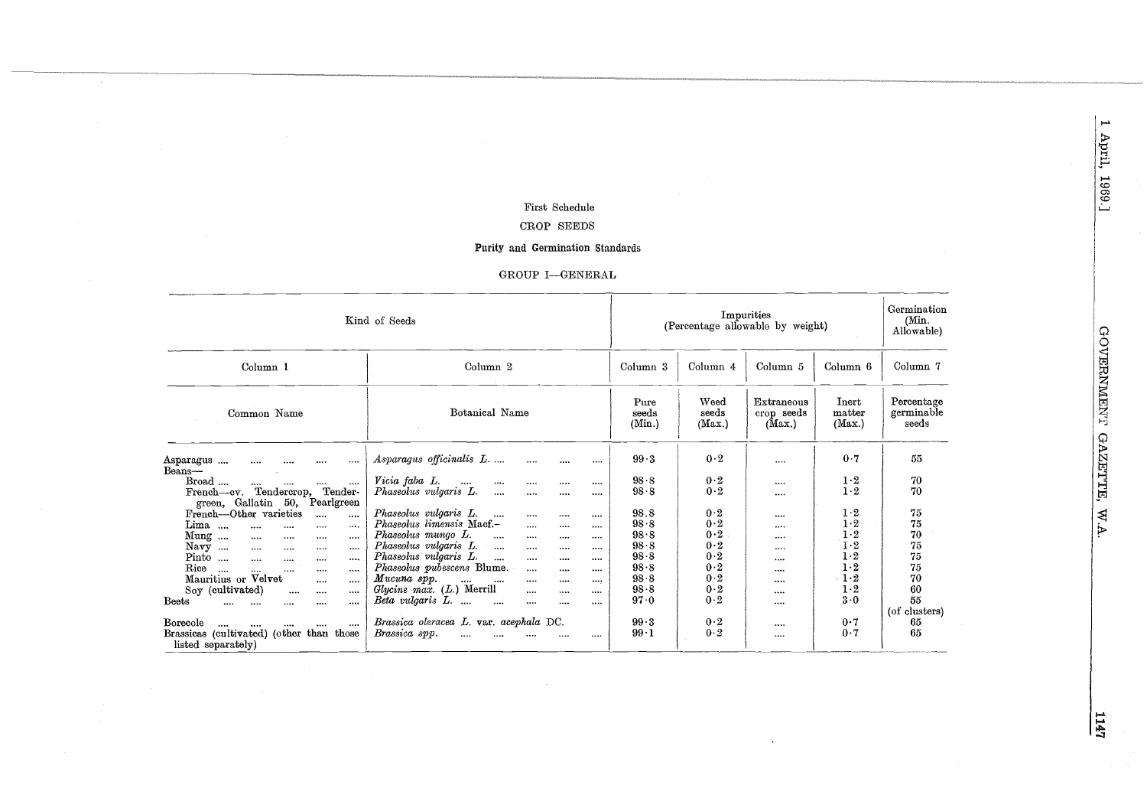### First Schedule

# CROP SEEDS

### Purity and Germination Standards

| Kind of Seeds                                                                                                                                                                                                                                                                                                                                                                                                                                                                                                                                                        | (Percentage allowable by weight)                                                                                                                                                                                                                                                                                                                                                                                                                                                                                                                                                                                              | Germination<br>(Min.<br>Allowable)                                                                       |                                                                                  |                                                              |                                                                                            |                                                                      |
|----------------------------------------------------------------------------------------------------------------------------------------------------------------------------------------------------------------------------------------------------------------------------------------------------------------------------------------------------------------------------------------------------------------------------------------------------------------------------------------------------------------------------------------------------------------------|-------------------------------------------------------------------------------------------------------------------------------------------------------------------------------------------------------------------------------------------------------------------------------------------------------------------------------------------------------------------------------------------------------------------------------------------------------------------------------------------------------------------------------------------------------------------------------------------------------------------------------|----------------------------------------------------------------------------------------------------------|----------------------------------------------------------------------------------|--------------------------------------------------------------|--------------------------------------------------------------------------------------------|----------------------------------------------------------------------|
| Column <sub>1</sub>                                                                                                                                                                                                                                                                                                                                                                                                                                                                                                                                                  | Column <sub>2</sub>                                                                                                                                                                                                                                                                                                                                                                                                                                                                                                                                                                                                           | Column <sub>3</sub>                                                                                      | Column 4                                                                         | Column <sub>5</sub>                                          | Column 6                                                                                   | Column 7                                                             |
| Common Name                                                                                                                                                                                                                                                                                                                                                                                                                                                                                                                                                          | Botanical Name                                                                                                                                                                                                                                                                                                                                                                                                                                                                                                                                                                                                                | Pure<br>seeds<br>(Min.)                                                                                  | Weed<br>seeds<br>(Max.)                                                          | Extraneous<br>crop seeds<br>(Max.)                           | Inert<br>matter<br>(Max.)                                                                  | Percentage<br>germinable<br>seeds                                    |
| Asparagus<br>$\cdots$<br><br><br><br>Beans-<br>Broad<br>$\cdots$<br><br>$\cdots$<br>Tendercrop,<br>Tender-<br>French-cv.<br>green, Gallatin<br>50,<br>Pearlgreen<br>French-Other varieties<br>$\cdots$<br>$\cdots$<br>Lima<br>$\cdots$<br>$\cdots$<br>$\cdots$<br><br>Mung<br><br>$\cdots$<br>$$<br><br>Navy<br>$\cdots$<br>$\cdots$<br><br><br>$Pinto$<br>$\cdots$<br><br>$\cdots$<br>$\cdots$<br>Rice<br>$\sim$<br><br>$\cdots$<br><br>$\cdots$<br>Mauritius or Velvet<br><br>$\cdots$<br>Soy (cultivated)<br><br>$\cdots$<br><br><b>Beets</b><br><br><br><br><br> | Asparagus officinalis L<br><br><br><br>Vicia faba L.<br><br><br><br><br><br>Phaseolus vulgaris L.<br>$\cdots$<br><br><br><br>Phaseolus vulgaris L.<br>$\cdots$<br><br><br><br>Phaseolus limensis Macf.-<br>$\cdots$<br>$\cdots$<br><br>Phaseolus mungo L.<br>$\cdots$<br>$\cdots$<br><br><br>Phaseolus vulgaris L.<br><br><br><br>$\cdots$<br>Phaseolus vulgaris L.<br>$\cdots$<br>$\cdots$<br>$\cdots$<br>$\cdots$<br>Phaseolus pubescens Blume.<br><br><br><br>Mucuna sop.<br>$\cdots$<br>$\cdots$<br>$\cdots$<br><br><br>Glycine max. (L.) Merrill<br>$\cdots$<br><br><br>Beta vulgaris L.<br>$\cdots$<br><br>$\cdots$<br> | 99.3<br>98.8<br>$98 - 8$<br>98.8<br>98.8<br>98.8<br>98.8<br>98.8<br>98.8<br>$98 - 8$<br>$98 - 8$<br>97.0 | 0.2<br>0.2<br>0.2<br>0.2<br>0.2<br>0.2<br>0.2<br>0.2<br>0.2<br>0.2<br>0.2<br>0.2 | <br><br><br><br>$\cdots$<br><br><br>$\cdots$<br><br><br><br> | 0.7<br>$1-2$<br>1·2<br>1·2<br>1.2<br>$1-2$<br>1·2<br>$1-2$<br>1.2<br>1.2<br>$1-2$<br>$3-0$ | 55<br>70<br>70<br>75<br>75<br>70<br>75<br>75<br>75<br>70<br>60<br>55 |
| Borecole<br>$\cdots$<br>Brassicas (cultivated) (other than those<br>listed separately)                                                                                                                                                                                                                                                                                                                                                                                                                                                                               | Brassica oleracea L. var. acephala DC.<br>Brassica spp.<br>$\cdots$<br><br><br><br>                                                                                                                                                                                                                                                                                                                                                                                                                                                                                                                                           | 99.3<br>$99-1$                                                                                           | 0.2<br>0.2                                                                       | <br>$$                                                       | 0.7<br>0.7                                                                                 | (of clusters)<br>65<br>65                                            |

GOVERNMENT GAZETTE, W.A.

 $\frac{1147}{1}$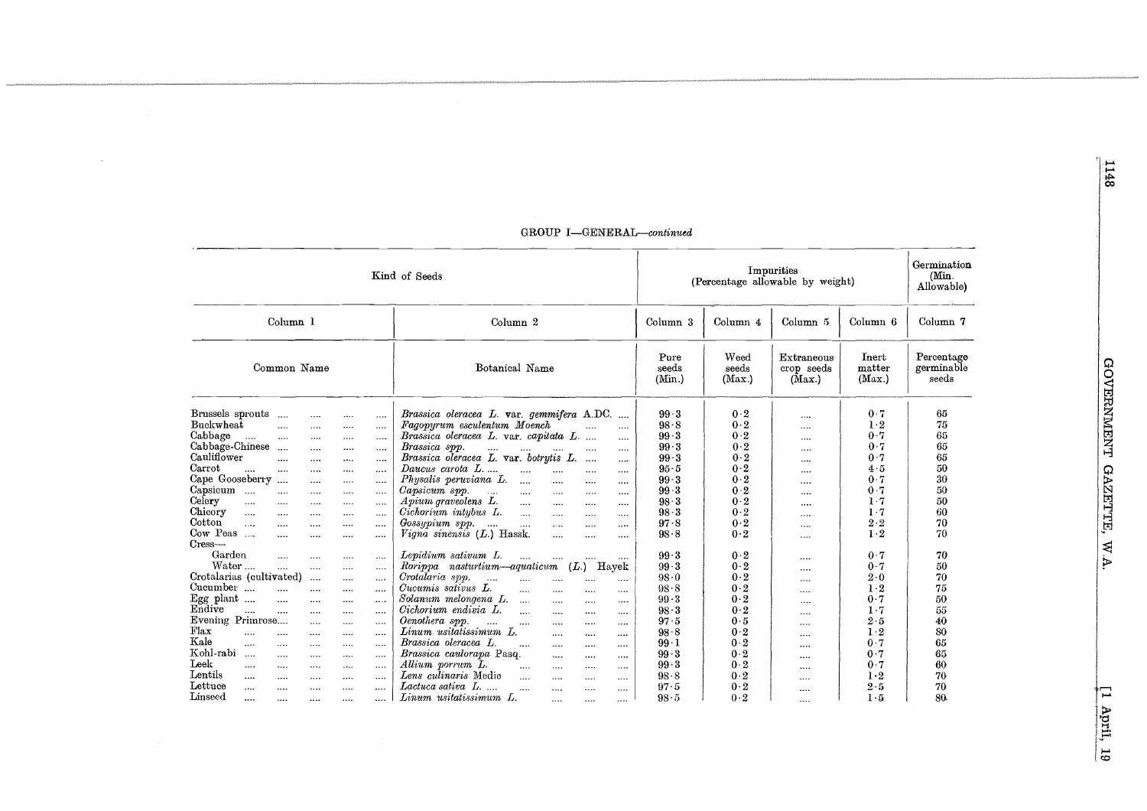| Kind of Seeds                                                                                                                                                                                            |                                                                    |                                                                      |                                              |                                                      |                                                                                                                                                                                                                                                                                                                                                                                                                                                                                         | (Percentage allowable by weight)                                                   | Germination<br>(Min.<br>Allowable)                                        |                                                       |                                                                                     |                                                                |
|----------------------------------------------------------------------------------------------------------------------------------------------------------------------------------------------------------|--------------------------------------------------------------------|----------------------------------------------------------------------|----------------------------------------------|------------------------------------------------------|-----------------------------------------------------------------------------------------------------------------------------------------------------------------------------------------------------------------------------------------------------------------------------------------------------------------------------------------------------------------------------------------------------------------------------------------------------------------------------------------|------------------------------------------------------------------------------------|---------------------------------------------------------------------------|-------------------------------------------------------|-------------------------------------------------------------------------------------|----------------------------------------------------------------|
|                                                                                                                                                                                                          | Column <sub>1</sub>                                                |                                                                      |                                              |                                                      | Column <sub>2</sub>                                                                                                                                                                                                                                                                                                                                                                                                                                                                     | Column 3                                                                           | Column 4                                                                  | Column 5                                              | Column 6                                                                            | Column 7                                                       |
| Common Name                                                                                                                                                                                              |                                                                    |                                                                      |                                              |                                                      | Botanical Name                                                                                                                                                                                                                                                                                                                                                                                                                                                                          | Pure<br>seeds<br>(Min.)                                                            | Weed<br>Extraneous<br>seeds<br>crop seeds<br>(Max.)<br>(Max.)             |                                                       | Inert<br>matter<br>Max.                                                             | Percentage<br>germinable<br>seeds                              |
| Brussels sprouts<br>Buckwheat<br>Cabbage<br>$\cdots$<br>Cabbage-Chinese<br>Cauliflower<br>Carrot<br>$\overline{1}$<br>Cape Gooseberry<br>Capsicum<br>Celery<br>$\cdots$<br>Chicory<br>$\cdots$<br>Cotton | <br><br><br>$\cdots$<br>$\cdots$<br><br>$\sim$ $\sim$<br><br>.<br> | <br>$\cdots$<br><br>$\cdots$<br><br>$\cdots$<br>$\cdots$<br><br><br> | <br><br><br><br><br>$\cdots$<br><br><br><br> | <br><br>$\cdots$<br><br><br><br>$\cdots$<br><br><br> | Brassica oleracea L. var. gemmifera A.DC.<br>$\cdots$<br>Fagopyrum esculentum Moench<br><br>Brassica oleracea L. var. capitata L.<br><br>Brassica spp.<br>$\cdots$<br><br>Brassica oleracea L. var. botrytis L.<br>$\cdots$<br><br>Daucus carota L<br><br><br><br><br>Physalis peruviana L.<br>$\cdots$<br>$\cdots$<br><br><br>Capsicum spp.<br>$\cdots$<br>$\cdots$<br><br>$\cdots$<br><br>Apium graveolens L.<br><br><br><br><br>Cichorium intybus L.<br>$\cdots$<br><br>$\cdots$<br> | 99.3<br>98.8<br>99.3<br>$99-3$<br>99.3<br>95.5<br>$99-3$<br>$99-3$<br>98.3<br>98.3 | 0.2<br>0.2<br>0.2<br>0.2<br>0.2<br>0.2<br>0.2<br>0.2<br>0.2<br>0.2<br>0.2 | .<br><br>$\cdots$<br><br><br><br><br><br>$\cdots$<br> | 0.7<br>$1-2$<br>0.7<br>0.7<br>0.7<br>4.5<br>0.7<br>0.7<br>$1-7$<br>$1-7$<br>$2 - 2$ | 65<br>75<br>65<br>65<br>65<br>50<br>30<br>50<br>50<br>60<br>70 |
| $\cdots$<br>Cow Peas<br>Cress<br>Garden                                                                                                                                                                  | <br>                                                               | <br><br>$\cdots$                                                     | <br><br>                                     | <br><br>                                             | Gossypium spp.<br>$\sim$ 1111<br>$\ddotsc$<br>$\cdots$<br><br><br>Vigna sinensis $(L)$ Hassk.<br><br><br><br>Lepidium sativum L.<br>$\cdots$<br>                                                                                                                                                                                                                                                                                                                                        | 97 8<br>$98 - 8$<br>99.3                                                           | 0.2<br>0.2                                                                | <br><br>                                              | $1-2$<br>0.7                                                                        | 70<br>70                                                       |
| Water<br>Crotalarias (cultivated)<br>Cucumber<br>Egg plant $\ldots$<br>Endive                                                                                                                            | $\cdots$<br><br><br>                                               | <br>$\cdots$<br><br>$\cdots$<br>                                     | <br>$\cdots$<br><br>$\cdots$<br>             | <br>$\cdots$<br><br>$\cdots$<br>                     | Rorippa nasturtium—aquaticum<br>$(L.)$ Hayek<br>Crotalaria spp.<br>$\cdots$<br>$\cdots$<br><br><br>$\cdots$<br>Cucumis sativus L.<br><br><br><br><br>Solanum melongena L.<br>$\cdots$<br>$\cdots$<br><br>.<br>Cichorium endivia L.<br>$\ddotsc$<br>1.1.1<br>1.1.1.1<br>$\cdots$                                                                                                                                                                                                         | $99 - 3$<br>98.0<br>98.8<br>99.3<br>$98-3$                                         | 0.2<br>0.2<br>0.2<br>$0-2$<br>0.2                                         | <br>$\cdots$<br><br><br>                              | 0.7<br>$2\cdot 0$<br>$1-2$<br>0.7<br>$1-7$                                          | 50<br>70<br>75<br>50<br>55                                     |
| Evening Primrose<br>Flax<br><br>Kale<br><br>Kohl-rabi<br>$\cdots$<br>Leek<br><br>Lentils<br>                                                                                                             | $\cdots$<br>.<br><br>$\cdots$<br>.                                 | .<br>$\cdots$<br>$\cdots$<br><br>$\cdots$<br>$\cdots$                | <br>.<br><br>$\cdots$<br>$\cdots$<br>        | <br><br>.<br>$\cdots$<br><br>$\cdots$                | Oenothera spp.<br><br>$\cdots$<br><br><br><br>Linum usitatissimum L.<br>$\cdots$<br><br><br>Brassica oleracea L.<br>$\cdots$<br><br><br><br>Brassica caulorapa Pasq.<br><br><br><br>Allium porrum L.<br><br><br><br>Lens culinaris Medio<br>$\ddotsc$<br><br><br>                                                                                                                                                                                                                       | 97.5<br>$98 - 8$<br>$99-1$<br>$99-3$<br>$99-3$<br>$98 - 8$                         | 0.5<br>0.2<br>0.2<br>0.2<br>$0-2$<br>0.2                                  | <br><br><br>$\cdots$<br><br>                          | $2 - 5$<br>$1-2$<br>0.7<br>0.7<br>0.7<br>$1-2$                                      | 40<br>80<br>65<br>65<br>60<br>70                               |
| Lettuce<br>$\cdots$<br>Linseed<br>                                                                                                                                                                       | $\cdots$<br>                                                       | $-1 - 1$<br>                                                         | <br>                                         | <br>                                                 | Lactuca sativa L.<br><br><br><br>Linum usitatissimum L.<br>1.11<br>.<br>1.11                                                                                                                                                                                                                                                                                                                                                                                                            | $97 - 5$<br>98.5                                                                   | 0.2<br>0.2                                                                | <br>                                                  | 2.5<br>$1-5$                                                                        | 70<br>80                                                       |

### GROUP I-GENERAL-continued

 $\rightarrow$ 

 $\sim$ 

1148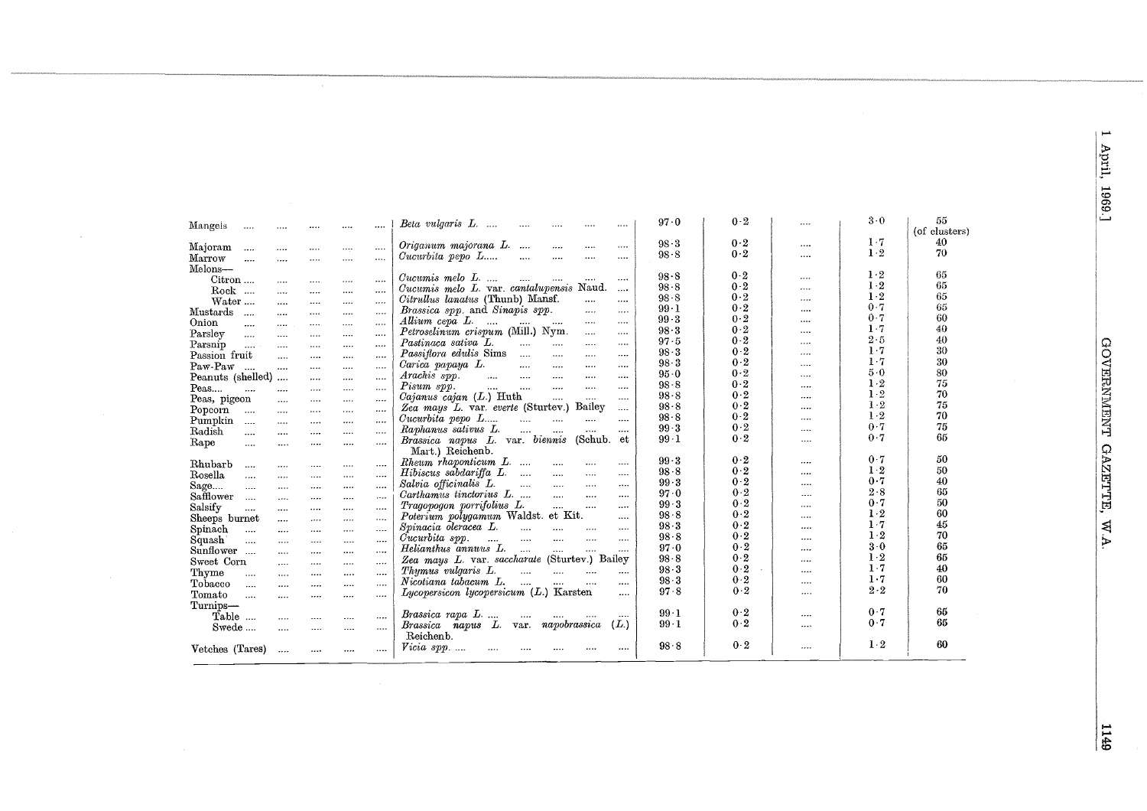|          | Beta vulgaris L.<br>                                                                                                                                                                                                                                                            | $97-0$   | 0.2   |          | $3-0$ | 55            |
|----------|---------------------------------------------------------------------------------------------------------------------------------------------------------------------------------------------------------------------------------------------------------------------------------|----------|-------|----------|-------|---------------|
|          |                                                                                                                                                                                                                                                                                 |          |       |          |       | (of clusters) |
|          | Origanum majorana L.<br>$\cdots$<br>$\cdots$<br>                                                                                                                                                                                                                                | $98-3$   | 0.2   |          | $1-7$ | 40            |
|          | $\emph{Cucurbita pepo}$ $\emph{L}$<br>$\cdots$<br>                                                                                                                                                                                                                              | $98 - 8$ | $0-2$ |          | $1-2$ | 70            |
| $\cdots$ |                                                                                                                                                                                                                                                                                 |          |       |          |       |               |
|          | $\emph{Cucumis melo}$ $L_{\cdots}$ $\ldots$<br>$\cdots$<br>$\cdots$<br>                                                                                                                                                                                                         | $98-8$   | 0.2   | $\cdots$ | $1-2$ | 65            |
|          | Cucumis melo L. var. cantalupensis Naud.<br>$\cdots$                                                                                                                                                                                                                            | $98-8$   | $0-2$ |          | $1-2$ | 65            |
|          | Citrullus lanatus (Thunb) Mansf.<br>$\cdots$<br>                                                                                                                                                                                                                                | $98 - 8$ | 0.2   | $\cdots$ | $1-2$ | 65            |
|          | <i>Brassica spp.</i> and <i>Sinapis spp.</i><br>$\cdots$<br>$\cdots$                                                                                                                                                                                                            | $99-1$   | 0.2   | $\cdots$ | 0.7   | 65            |
| $\cdots$ | $\cdots$<br>$\cdots$                                                                                                                                                                                                                                                            | $99-3$   | $0-2$ |          | 0.7   | 60            |
|          | Allium cepa L.  T<br>Petroselinum crispum (Mill.) Nym.                                                                                                                                                                                                                          | 98.3     | 0.2   |          | $1-7$ | 40            |
|          | $\cdots$<br>$\cdots$<br>Pastinaca sativa L.                                                                                                                                                                                                                                     | $97 - 5$ | 0.2   |          | $2-5$ | 40            |
|          | <b>September 1989</b><br><b>Save Committee</b><br>$\cdots$<br>$\cdots$                                                                                                                                                                                                          | $98-3$   | 0.2   |          | $1-7$ | 30            |
|          | Passiflora edulis Sims<br>$\cdots$<br>$\cdots$<br>                                                                                                                                                                                                                              | $98-3$   | 0.2   |          | $1-7$ | 30            |
| $\cdots$ | Carica papaya L.<br>$\cdots$<br>$\cdots$<br>                                                                                                                                                                                                                                    | $95-0$   | 0.2   |          | $5-0$ | 80            |
| $\cdots$ | $Arachis$ spp.<br>$\cdots$<br>$\cdots$                                                                                                                                                                                                                                          | $98 - 8$ | 0.2   | $\cdots$ | $1-2$ | 75            |
|          | Pisum spp.<br><b>Section</b><br>$\cdots$<br>المستنان المساريات<br>$\cdots$                                                                                                                                                                                                      | $98 - 8$ | 0.2   |          | $1-2$ | 70            |
| $\cdots$ | $Cajanus$ $cajan (L.)$ Huth<br>$\sim$ $\sim$<br>$\cdots$<br>                                                                                                                                                                                                                    |          | 0.2   |          | $1-2$ | 75            |
|          | Zea mays L. var. everte (Sturtev.) Bailey<br>                                                                                                                                                                                                                                   | $98 - 8$ | $0-2$ |          | $1-2$ | 70            |
|          | $\emph{Cucurbita pepo}$ $\emph{L}$<br><b>Service</b> Control<br>                                                                                                                                                                                                                | $98 - 8$ | 0.2   |          | 0.7   | 75            |
|          | Raphanus sativus L.<br>                                                                                                                                                                                                                                                         | $99-3$   |       |          | 0.7   | 65            |
|          | Brassica napus L. var. biennis (Schub. et                                                                                                                                                                                                                                       | $99-1$   | 0.2   |          |       |               |
|          | Mart.) Reichenb.                                                                                                                                                                                                                                                                |          |       |          | 0.7   | 50            |
|          | Rheum rhaponticum L.<br><br>$\cdots$                                                                                                                                                                                                                                            | 99.3     | $0-2$ |          |       |               |
|          | $Hibiscus$ sabdariffa $L$<br><br>                                                                                                                                                                                                                                               | $98 - 8$ | 0.2   |          | $1-2$ | 50            |
|          | Salvia officinalis L.<br>and the contract of the contract of the contract of the contract of the contract of the contract of the contract of the contract of the contract of the contract of the contract of the contract of the contract of the contra<br>$\cdots$<br>$\cdots$ | $99-3$   | 0.2   |          | 0.7   | 40            |
| $\cdots$ | Carthamus tinctorius L.<br>$\sim$<br>                                                                                                                                                                                                                                           | 97.0     | 0.2   | $\cdots$ | 2.8   | 65            |
|          | Tragopogon porrifolius L.<br><b>Sales</b><br><br>                                                                                                                                                                                                                               | $99-3$   | 0.2   |          | 0.7   | 50            |
| $\cdots$ | Poterium polygamum Waldst. et Kit.<br>                                                                                                                                                                                                                                          | 98.8     | $0-2$ |          | $1-2$ | 60            |
|          | Spinacia oleracea L.<br>$\cdots$ $\cdots$ $\cdots$<br>$\ldots$ .<br>$\cdots$                                                                                                                                                                                                    | $98-3$   | 0.2   |          | $1-7$ | 45            |
|          | المستحدث المسامي المساوي<br>Cucurbita spp.<br>$\sim$<br>$\cdots$                                                                                                                                                                                                                | 98.8     | 0.2   |          | $1-2$ | 70            |
| $\cdots$ | Helianthus annuus L.<br>$\cdots$<br>                                                                                                                                                                                                                                            | $97-0$   | $0-2$ |          | $3-0$ | 65            |
|          | Zea mays L. var. saccharate (Sturtev.) Bailey                                                                                                                                                                                                                                   | $98-8$   | 0.2   |          | $1-2$ | 65            |
| $\cdots$ | Thymus vulgaris L.<br>$\cdots$                                                                                                                                                                                                                                                  | $98-3$   | $0-2$ |          | $1-7$ | 40            |
|          | $Nicotiana$ tabacum $L$ .<br>$\sim 100$<br>$\cdots$                                                                                                                                                                                                                             | $98-3$   | $0-2$ |          | 1.7   | 60            |
|          | $Lycopersicon$ lycopersicum $(L)$ Karsten<br>$\cdots$                                                                                                                                                                                                                           | 97.8     | $0-2$ | $\cdots$ | $2-2$ | 70            |
|          |                                                                                                                                                                                                                                                                                 |          |       |          |       |               |
|          | Brassica rapa L<br>$\sim$ 100 $\mu$ m $\sim$<br><br>$\cdots$                                                                                                                                                                                                                    | $99-1$   | $0-2$ |          | 0.7   | 65            |
| <br>     | Brassica napus L. var. napobrassica<br>(L.)                                                                                                                                                                                                                                     | $99-1$   | 0.2   |          | 0.7   | 65            |
|          | Reichenb.                                                                                                                                                                                                                                                                       |          |       |          |       |               |
|          |                                                                                                                                                                                                                                                                                 |          |       |          |       |               |

 $98.8$ 

 $0\cdot 2$ 

 $\cdots$ 

 $1-2$ 

60

Mangels ...

Majoram ....

Marrow<br>Melons—

Mustards  $\,\,\ldots\,\,$ 

 $Paw-Paw$  ...

Peas, pigeon

Popcom ...

Pumpkin ....<br>Radish ....

Rhubarb ....

 ${\bf Rosella} \qquad \ldots$ 

Safflower ...

Salsify ....<br>Sheeps burnet

Spinach<br>Spinach<br>Squash ....

Sunflower ....

Tobacco ....

Tomato ....

Turnips—<br>Table ...

Swede ....

Vetches (Tares) ....

Sweet Corn

Thyme

Onion

Parsley

Parsnip Parsnip ....<br>Passion fruit

Peas....

Rape

Sage....

 $Citron...$ 

Rock ....

Water...

 $\sim$   $\sim$ 

 $\overline{\phantom{a}}$ 

Peanuts (shelled) ....

 $\sim$ 

 $\sim$ 

 $\sim$   $\sim$ 

 $\sim$   $\sim$ 

u.

 $\cdots$ 

 $\cdots$ 

 $\cdots$ 

 $\cdots$ 

 $\sim$ 

 $\dddotsc$ 

 $\sim$ 

 $\sim$ 

 $\sim$ 

 $\sim$ 

 $\sim$ 

 $\sim$ 

 $\sim$ 

 $\sim$ 

 $\sim$ 

 $\cdots$ 

 $\sim$ 

 $\sim$ 

 $\cdots$ 

 $\cdots$ 

 $\sim$ 

 $\cdots$ 

 $\ldots$ 

 $\cdots$ 

 $\mathcal{L}_{\text{max}}$ 

 $\ldots$ 

 $\cdots$ 

 $\cdots$ 

 $\sim$ 

 $\ldots$ 

 $\dots$ 

 $\sim$ 

 $\ldots$ 

 $\sim$ 

 $\sim$ 

 $\cdots$ 

 $\ldots$ 

 $\cdots$ 

 $\ldots$ 

 $\cdots$ 

 $\sim$ 

 $\sim$ 

 $\cdots$ 

 $\cdots$ 

 $\cdots$ 

 $\cdots$ 

 $\ldots$ 

 $\sim$ 

 $\cdots$ 

 $\cdots$ 

 $\cdots$ 

 $\cdots$ 

 $\cdots$ 

 $\ldots$ 

 $\sim$ 

 $\cdots$ 

 $\cdots$ 

 $\sim$ 

 $\sim$ 

 $\ldots$ 

 $\cdots$ 

 $\sim$ 

 $\ldots$ 

 $\sim$ 

 $\dots$ 

 $\sim$ 

 $\cdots$ 

 $\sim$ 

 $\ldots$ 

 $\cdots$ 

 $\cdots$ 

 $\cdots$ 

 $\cdots$ 

 $\cdots$ 

 $\cdots$ 

 $\cdots$ 

 $\sim$ 

 $\cdots$ 

 $\cdots$ 

 $\cdots$ 

 $\cdots$ 

 $\ldots$ 

 $\sim$ 

 $\sim$  .  $\sim$ 

 $\sim$ 

 $\cdots$ 

 $\ldots$ 

 $\cdots$ 

 $\cdots$ 

 $\sim$ 

 $\cdots$ 

 $\cdots$ 

 $\cdots$ 

 $\sim$ 

 $\ldots$ 

 $\sim$ 

 $\sim$ 

 $\dots$ 

 $\ldots$ 

 $\ldots$ 

 $\sim$ 

 $\cdots$ 

 $\ldots$ 

 $Vicia$  spp. ....

 $\cdots$ 

 $\sim$   $\sim$ 

 $\sim$ 

 $\cdots$ 

 $\ldots$ 

 $\mathbf{W}$   $\mathbf{M}$ 

لمسو

67<sub>11</sub>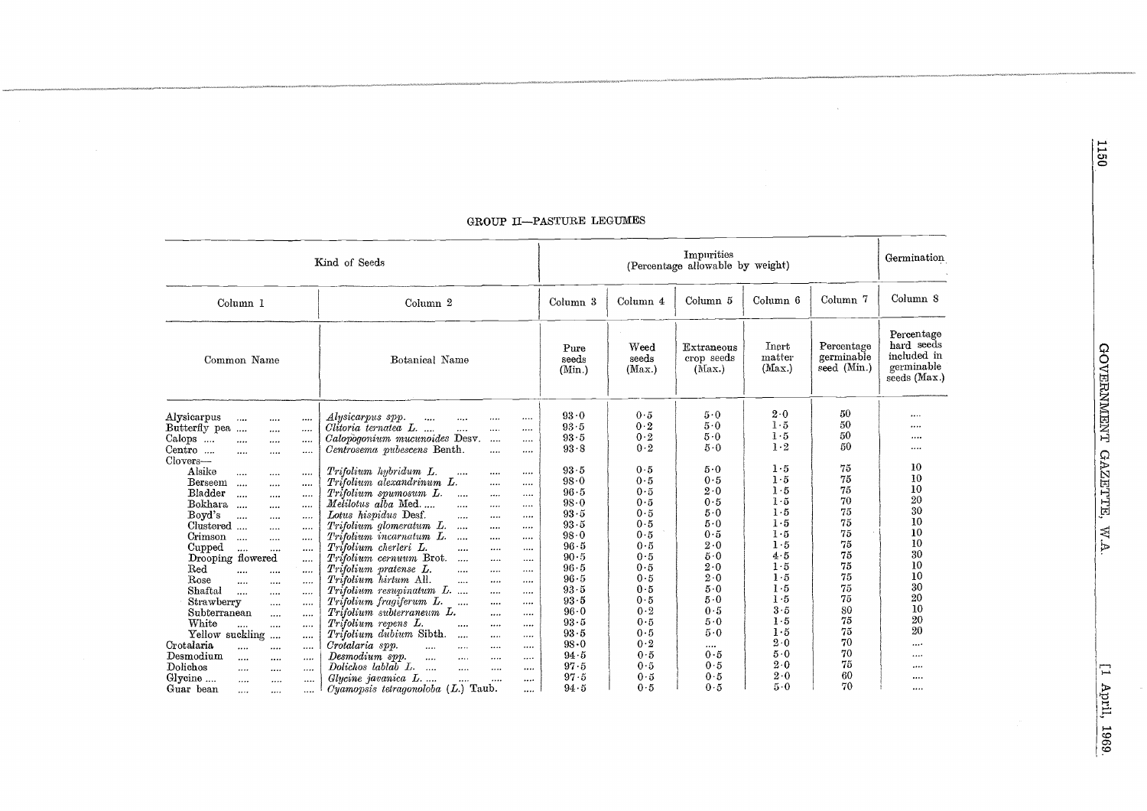| Kind of Seeds                                                                                                                                                                                                                                                                                                                                                                                                                                                                                              |                                                                                                                                                                                                                                                                                                                                                                                                                                                                                                                                                                                                                                                                                                                                                          |                                                                                                                      | Germination                                                                                    |                                                                                                      |                                                                                                |                                                                            |                                                                                      |
|------------------------------------------------------------------------------------------------------------------------------------------------------------------------------------------------------------------------------------------------------------------------------------------------------------------------------------------------------------------------------------------------------------------------------------------------------------------------------------------------------------|----------------------------------------------------------------------------------------------------------------------------------------------------------------------------------------------------------------------------------------------------------------------------------------------------------------------------------------------------------------------------------------------------------------------------------------------------------------------------------------------------------------------------------------------------------------------------------------------------------------------------------------------------------------------------------------------------------------------------------------------------------|----------------------------------------------------------------------------------------------------------------------|------------------------------------------------------------------------------------------------|------------------------------------------------------------------------------------------------------|------------------------------------------------------------------------------------------------|----------------------------------------------------------------------------|--------------------------------------------------------------------------------------|
| Column <sub>1</sub>                                                                                                                                                                                                                                                                                                                                                                                                                                                                                        | Column <sub>2</sub>                                                                                                                                                                                                                                                                                                                                                                                                                                                                                                                                                                                                                                                                                                                                      | Column <sub>3</sub>                                                                                                  | Column 4                                                                                       | Column 5                                                                                             | Column 6                                                                                       | Column <sub>7</sub>                                                        | Column 8                                                                             |
| Common Name                                                                                                                                                                                                                                                                                                                                                                                                                                                                                                | Botanical Name                                                                                                                                                                                                                                                                                                                                                                                                                                                                                                                                                                                                                                                                                                                                           | Pure<br>seeds<br>(Min.)                                                                                              | Weed<br>seeds<br>(Max.)                                                                        | Extraneous<br>crop seeds<br>(Max.)                                                                   | Inert<br>matter<br>(Max.)                                                                      | Percentage<br>germinable<br>seed (Min.)                                    | Percentage<br>hard seeds<br>included in<br>germinable<br>seeds (Max.)                |
| Alysicarpus<br>$\cdots$<br>$\cdots$<br>$\cdots$<br>Butterfly pea<br>$\cdots$<br><br>Calops<br>$\cdots$<br>$\cdots$<br><br>Centro<br>$\cdots$<br><br><br>$Clovers-$<br>Alsike<br>$\cdots$<br>$\cdots$<br><br>Berseem<br>$\cdots$<br>$\cdots$<br><br>Bladder<br>$\cdots$<br>$\cdots$<br><br>Bokhara<br>$\cdots$<br>$\cdots$<br><br>Boyd's<br>$\cdots$<br><br><br>Clustered<br><br>$\cdots$<br>Crimson<br>$\cdots$<br>$\cdots$<br>$\cdots$                                                                    | Alysicarpus spp.<br>$\ddotsc$<br>$\cdots$<br><br><br>Clitoria ternatea L<br>$\cdots$<br><br><br>Calopogonium mucunoides Desv.<br>.<br><br>Centrosema pubescens Benth.<br><br><br>Trifolium hubridum L.<br>$\cdots$<br><br>$\cdots$<br>Trifolium alexandrinum L.<br><br><br>Trifolium spumosum L.<br>$\dddotsc$<br><br><br>Metilotus alba Med<br>$\cdots$<br><br><br>Lotus hispidus Desf.<br>$\cdots$<br><br><br>Trifolium glomeratum L.<br>$\ddotsc$<br>$\cdots$<br><br>Trifolium incarnatum L.<br>$\dddotsc$<br>$\cdots$<br>                                                                                                                                                                                                                            | 93.0<br>93.5<br>93.5<br>93.8<br>93.5<br>98.0<br>96.5<br>98.0<br>93.5<br>93.5<br>98.0                                 | 0.5<br>0.2<br>0.2<br>0.2<br>0.5<br>0.5<br>0.5<br>0.5<br>0.5<br>0.5<br>0.5                      | 5.0<br>5.0<br>5.0<br>5.0<br>5.0<br>0.5<br>$2\cdot 0$<br>0.5<br>5.0<br>5.0<br>0.5                     | 2.0<br>1.5<br>1.5<br>$1 \cdot 2$<br>1.5<br>1.5<br>1.5<br>$1-5$<br>$1-5$<br>$1-5$<br>1.5<br>1.5 | 50<br>50<br>50<br>50<br>75<br>75<br>75<br>70<br>75<br>75<br>75<br>75       | <br><br><br><br>10<br>10<br>10<br>20<br>30<br>10<br>10<br>10                         |
| Cupped<br><br>$\cdots$<br><br>Drooping flowered<br><br>Red<br><br><br>$\cdots$<br>Rose<br>$\cdots$<br>$\cdots$<br>$\cdots$<br>Shaftal<br>$\cdots$<br>$\cdots$<br><br>Strawberry<br>$\cdots$<br><br>Subterranean<br>$\cdots$<br>$\cdots$<br>White<br>$\cdots$<br><br>$\cdots$<br>Yellow suckling<br>$\cdots$<br>$\cdots$<br>Crotalaria<br>$\cdots$<br>$\cdots$<br><br>Desmodium<br><br>$\cdots$<br><br>Dolichos<br>$\cdots$<br><br><br>Glycine<br>$\cdots$<br>$\cdots$<br><br>Guar bean<br><br>$\cdots$<br> | Trifolium cherleri L.<br>$\cdots$<br>$\cdots$<br>$\cdots$<br>Trifolium cernuum Brot.<br>$\cdots$<br>$\cdots$<br>$\cdots$<br>Trifolium pratense L.<br>$\cdots$<br>$\cdots$<br><br>Trifolium hirtum All.<br>$\cdots$<br><br><br>Trifolium resupinatum L.<br><br>$\cdots$<br>Trifolium fragiferum L.<br>$\cdots$<br>$\cdots$<br><br>Trifolium subterraneum L.<br>$\cdots$<br><br>Trifolium repens L.<br>$\cdots$<br>$\cdots$<br>$\cdots$<br>Trifolium dubium Sibth.<br>$\cdots$<br>$\cdots$<br>$\cdots$<br>Crotalaria spp.<br>$\mathbf{1}$<br><br>$\cdots$<br><br>Desmodium spp.<br>$\cdots$<br>$\cdots$<br>$\cdots$<br><br>Dolichos lablab L.<br>$\cdots$<br><br><br><br>Glycine javanica L<br>$\cdots$<br><br><br>Cyamopsis tetragonoloba $(L)$ Taub.<br> | 96.5<br>90.5<br>96.5<br>$96 - 5$<br>93.5<br>93.5<br>96.0<br>93.5<br>93.5<br>$98 - 0$<br>94.5<br>97.5<br>97.5<br>94.5 | 0.5<br>0.5<br>0.5<br>0.5<br>0.5<br>0.5<br>0.2<br>0.5<br>0.5<br>0.2<br>0.5<br>0.5<br>0.5<br>0.5 | 2.0<br>5.0<br>2.0<br>$2\cdot 0$<br>5.0<br>5.0<br>0.5<br>5.0<br>$5-0$<br><br>0.5<br>0.5<br>0.5<br>0.5 | 4.5<br>1.5<br>1.5<br>1.5<br>1.5<br>3.5<br>1.5<br>1.5<br>2.0<br>5.0<br>2.0<br>2.0<br>$5-0$      | 75<br>75<br>75<br>75<br>75<br>80<br>75<br>75<br>70<br>70<br>75<br>60<br>70 | 30<br>10<br>10<br>30<br>20<br>10<br>$20\,$<br>20<br>$\cdots$<br><br>$\cdots$<br><br> |

### GROUP II-PASTURE LEGUMES

 $\mathcal{L}_{\mathcal{L}}$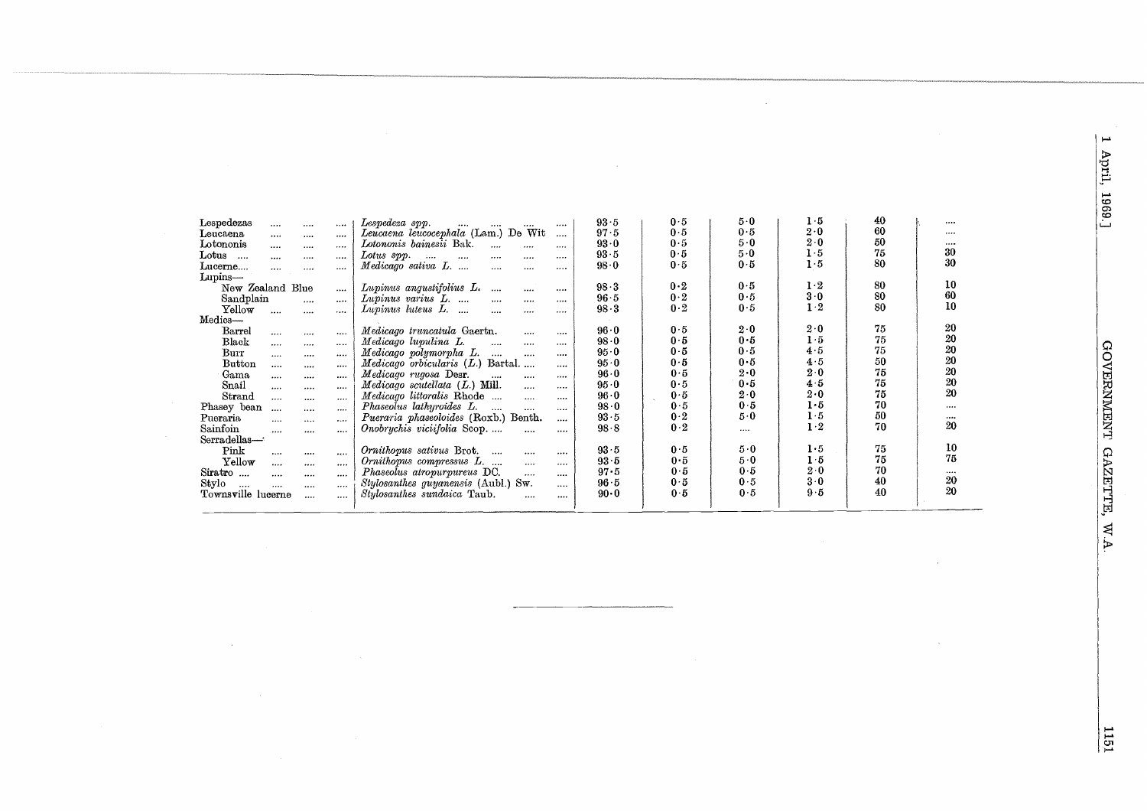1 April, 1969.]

| Lespedezas<br>$\cdots$<br><br><br>Leucaena<br><br><br> | Lespedeza spp.<br><br><br>$\cdots$<br><br>Leucaena leucocephala (Lam.) De Wit<br>$\cdots$ | 93.5<br>97.5 | 0.5<br>0.5 | $5-0$<br>0.5 | $1-5$<br>2.0 | 40<br>60 | <br> |
|--------------------------------------------------------|-------------------------------------------------------------------------------------------|--------------|------------|--------------|--------------|----------|------|
| Lotononis<br><br>$\cdots$<br>                          | Lotononis bainesii Bak.<br><br><br>                                                       | 93.0         | 0.5        | 5.0          | $2\cdot 0$   | 50       |      |
| $_{\rm Lotus}$<br>$\cdots$<br><br><br>                 | Lotus spp.<br>$1.11$<br>$\cdots$<br>$\cdots$<br>$\cdots$<br>                              | 93.5         | 0.5        | 5.0          | 1.5          | 75       | 30   |
| Lucerne<br><br><br>                                    | Medicago sativa L.<br><br><br>                                                            | 98.0         | 0.5        | 0.5          | 1·5          | 80       | 30   |
| Lupins-                                                |                                                                                           |              |            |              |              |          |      |
| New Zealand Blue<br>                                   | Lupinus angustifolius L.<br>$\cdots$<br><br>                                              | 98.3         | 0.2        | 0.5          | $1\cdot 2$   | 80       | 10   |
| Sandplain<br>$\cdots$<br>                              | Lupinus varius L.<br>$\cdots$<br><br>                                                     | 96.5         | 0.2        | 0.5          | 3.0          | 80       | 60   |
| Yellow<br>$\cdots$<br>$\cdots$<br>$\cdots$             | Lupinus luteus L.<br><br><br>                                                             | 98.3         | 0.2        | 0.5          | 1·2          | 80       | 10   |
| Medics-                                                |                                                                                           |              |            |              |              |          |      |
| Barrel<br>$\cdots$<br><br>$\cdots$                     | Medicago truncatula Gaertn.<br>$\cdots$<br>$$                                             | $96 \cdot 0$ | 0.5        | $2\cdot 0$   | $2\cdot 0$   | 75       | 20   |
| Black<br><br><br>                                      | Medicago lupulina L.<br>$\cdots$<br><br>                                                  | 98.0         | 0.5        | 0.5          | $1-5$        | 75       | 20   |
| Burr<br>$\cdots$<br><br>                               | Medicago polymorpha L.<br>$\cdots$<br>$\cdots$<br>$\cdots$                                | 95.0         | 0.5        | 0.5          | 4.5          | 75       | 20   |
| Button<br><br><br>                                     | $Medicago$ orbicularis $(L)$ Bartal<br>                                                   | 95.0         | 0.5        | 0.5          | 4.5          | 50       | 20   |
| Gama<br>$\cdots$<br><br>                               | Medicago rugosa Desr.<br>$\cdots$<br>$\cdots$<br>$$                                       | 96.0         | 0.5        | 2.0          | 2.0          | 75       | 20   |
| Snail<br>$\cdots$<br><br>                              | $Medicago$ scutellata $(L.)$ Mill.<br>$\cdots$<br>                                        | 95.0         | 0.5        | 0.5          | 4.5          | 75       | 20   |
| Strand<br><br><br>                                     | Medicago littoralis Rhode<br>$\cdots$<br>                                                 | $96-0$       | 0.5        | 2.0          | 2.0          | 75       | 20   |
| Phasey bean<br>$\cdots$<br><br>                        | Phaseolus lathyroides L.<br>$\sim$<br>$\cdots$<br>                                        | 98.0         | 0.5        | 0.5          | $1-5$        | 70       |      |
| Pueraria<br>$\cdots$<br><br>                           | Pueraria phaseoloides (Roxb.) Benth.<br>                                                  | 93.5         | 0.2        | 5.0          | 1.5          | 50       |      |
| Sainfoin<br><br><br>                                   | Onobrychis viciifolia Scop<br>$\cdots$<br>                                                | 98.8         | 0.2        |              | $1 \cdot 2$  | 70       | 20   |
| Serradellas-                                           |                                                                                           |              |            |              |              |          |      |
| Pink<br><br><br>                                       | Ornithopus sativus Brot.<br>$\cdots$<br>                                                  | 93.5         | 0.5        | 5.0          | 1·5          | 75       | 10   |
| Yellow<br>$\cdots$<br><br>                             | Ornithopus compressus L.<br><br>                                                          | 93.5         | 0.5        | 5.0          | 1.5          | 75       | 75   |
| Siratro<br><br><br>                                    | Phaseolus atropurpureus DC.<br>$\cdots$<br>                                               | 97.5         | 0.5        | 0.5          | $2\cdot 0$   | 70       |      |
| Stylo<br><br><br><br>$\cdots$                          | Stylosanthes guyanensis (Aubl.) Sw.<br>                                                   | 96.5         | 0.5        | 0.5          | 3.0          | 40       | 20   |
| Townsville lucerne<br>$\cdots$<br>                     | Stylosanthes sundaica Taub.<br>$\cdots$<br>$\cdots$                                       | $90 \cdot 0$ | 0.5        | 0.5          | 9.5          | 40       | 20   |
|                                                        |                                                                                           |              |            |              |              |          |      |

 $\frac{1151}{2}$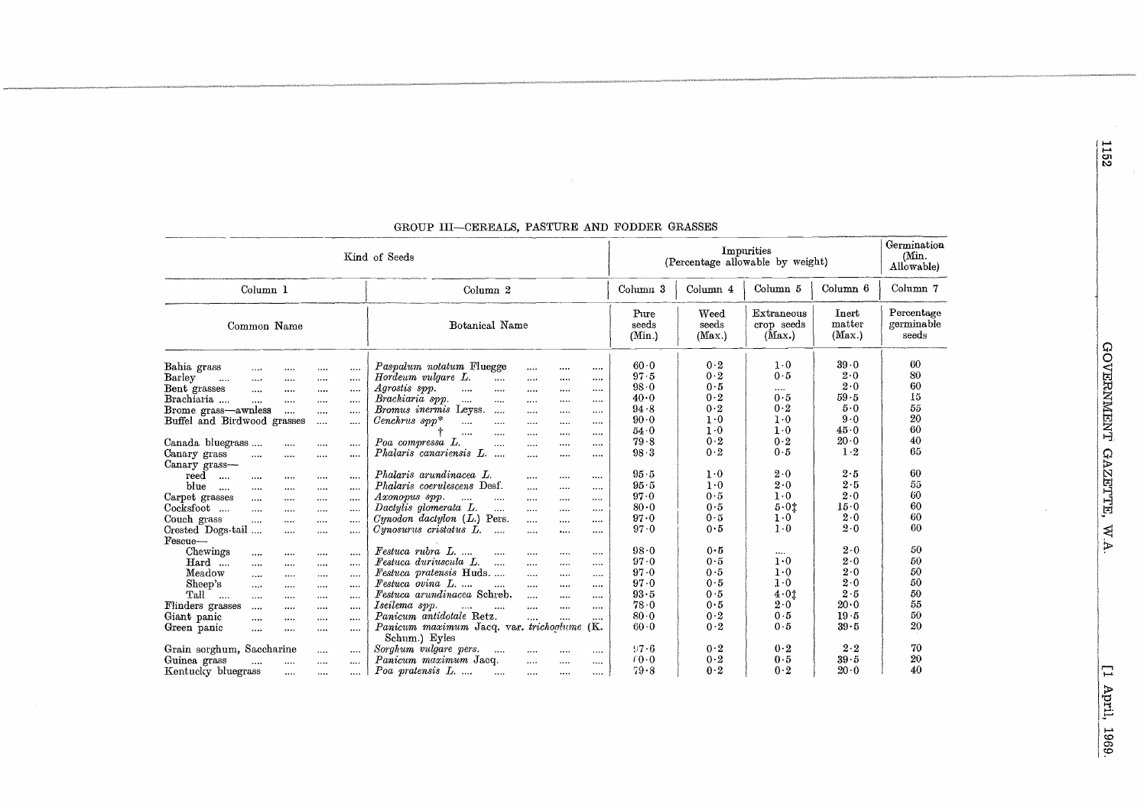| Kind of Seeds                                                                                                                                                                                                                                                                                                                                                                                                                                                                                                                                                                                                                                                                                                                                                                                                                                                                                                                                                                                                                                                                                                                                                                                                                                                        | Impurities<br>(Percentage allowable by weight)                                                                                                                                                                                                                                                                                                                                                                                                                                                                                                                                                                                                                                                                                                                                                                                                                                                                                                                                                                                                                                                                                                                                                                                                                                                                                                                                                                                                                                          |                                                                                                                                                                                                |                                                                                                                                                                               |                                                                                                                                                                                                                           | Germination<br>(Min.<br>Allowable)                                                                                                                                                                    |                                                                                                                                        |
|----------------------------------------------------------------------------------------------------------------------------------------------------------------------------------------------------------------------------------------------------------------------------------------------------------------------------------------------------------------------------------------------------------------------------------------------------------------------------------------------------------------------------------------------------------------------------------------------------------------------------------------------------------------------------------------------------------------------------------------------------------------------------------------------------------------------------------------------------------------------------------------------------------------------------------------------------------------------------------------------------------------------------------------------------------------------------------------------------------------------------------------------------------------------------------------------------------------------------------------------------------------------|-----------------------------------------------------------------------------------------------------------------------------------------------------------------------------------------------------------------------------------------------------------------------------------------------------------------------------------------------------------------------------------------------------------------------------------------------------------------------------------------------------------------------------------------------------------------------------------------------------------------------------------------------------------------------------------------------------------------------------------------------------------------------------------------------------------------------------------------------------------------------------------------------------------------------------------------------------------------------------------------------------------------------------------------------------------------------------------------------------------------------------------------------------------------------------------------------------------------------------------------------------------------------------------------------------------------------------------------------------------------------------------------------------------------------------------------------------------------------------------------|------------------------------------------------------------------------------------------------------------------------------------------------------------------------------------------------|-------------------------------------------------------------------------------------------------------------------------------------------------------------------------------|---------------------------------------------------------------------------------------------------------------------------------------------------------------------------------------------------------------------------|-------------------------------------------------------------------------------------------------------------------------------------------------------------------------------------------------------|----------------------------------------------------------------------------------------------------------------------------------------|
| Column 1                                                                                                                                                                                                                                                                                                                                                                                                                                                                                                                                                                                                                                                                                                                                                                                                                                                                                                                                                                                                                                                                                                                                                                                                                                                             | Column <sub>2</sub>                                                                                                                                                                                                                                                                                                                                                                                                                                                                                                                                                                                                                                                                                                                                                                                                                                                                                                                                                                                                                                                                                                                                                                                                                                                                                                                                                                                                                                                                     | Column 3                                                                                                                                                                                       | Column 4                                                                                                                                                                      | Column 5                                                                                                                                                                                                                  | Column <sub>6</sub><br>Inert<br>matter<br>(Max.)                                                                                                                                                      | Column 7                                                                                                                               |
| Common Name                                                                                                                                                                                                                                                                                                                                                                                                                                                                                                                                                                                                                                                                                                                                                                                                                                                                                                                                                                                                                                                                                                                                                                                                                                                          | Botanical Name                                                                                                                                                                                                                                                                                                                                                                                                                                                                                                                                                                                                                                                                                                                                                                                                                                                                                                                                                                                                                                                                                                                                                                                                                                                                                                                                                                                                                                                                          | Pure<br>seeds<br>(Min.)                                                                                                                                                                        | Weed<br>seeds<br>(Max.)                                                                                                                                                       | Extraneous<br>crop seeds<br>(Max.)                                                                                                                                                                                        |                                                                                                                                                                                                       | Percentage<br>germinable<br>seeds                                                                                                      |
| Bahia grass<br>$\cdots$<br>$\cdots$<br>$\cdots$<br><br>Barley<br>$\sim$<br>$\cdots$<br>$\cdots$<br>$\cdots$<br><br>Bent grasses<br>$\cdots$<br>$\cdots$<br>$$<br>$\cdots$<br>Brachiaria<br>$\cdots$<br>$\cdots$<br>$\cdots$<br>$\cdots$<br>Brome grass-awnless<br>$\cdots$<br>$\cdots$<br>$\cdots$<br>Buffel and Birdwood grasses<br><br>$\cdots$<br>Canada bluegrass<br>$\cdots$<br>$\cdots$<br>$\cdots$<br>Canary grass<br><br><br><br><br>Canary grass-<br>reed<br>$\cdots$<br><br>$\cdots$<br>$\cdots$<br>$\cdots$<br>blue<br>$\sim$<br><br>$\cdots$<br><br>$\cdots$<br>Carpet grasses<br><br>$\cdots$<br><br><br>Cocksfoot<br>$\cdots$<br>$\cdots$<br><br><br>Couch grass<br><br><br>$\cdots$<br>$\cdots$<br>Crested Dogs-tail<br>$\cdots$<br><br>$\cdots$<br>Fescue-<br>Chewings<br>$\cdots$<br><br>$\cdots$<br><br>$\operatorname{Hard}$<br>$\cdots$<br>$\cdots$<br><br>$\cdots$<br>Meadow<br>$\cdots$<br>$\cdots$<br>$\cdots$<br>$\cdots$<br>Sheep's<br>$\ldots$<br>$\cdots$<br>$\cdots$<br>$\cdots$<br>Tall<br>$\cdots$<br>$\cdots$<br>$\cdots$<br>$\cdots$<br>$\cdots$<br>Flinders grasses<br>$\cdots$<br>$\ldots$ .<br>$\cdots$<br><br>Giant panic<br>$\cdots$<br><br>$\cdots$<br>$\cdots$<br>Green panic<br>$\cdots$<br>$\cdots$<br>$\cdots$<br>$\cdots$ | Paspalum notatum Fluegge<br>$\cdots$<br>$\cdots$<br>$\cdots$<br>Hordeum vulgare L.<br>$\cdots$<br>$\cdots$<br>$\cdots$<br><br>Agrostis spp.<br><br>$\cdots$<br>$\cdots$<br>$\cdots$<br><br>Brachiaria spp.<br>$\mathcal{L}_{\mathcal{L},\mathcal{L},\mathcal{L}}$<br>$\cdots$<br><br>$\cdots$<br><br>Bromus inermis Leyss.<br>$\cdots$<br>$\cdots$<br>$\cdots$<br>$\cdots$<br>$Cenchrus$ spp $*$<br><br>$\cdots$<br>$\cdots$<br>$\cdots$<br>$\cdots$<br><br>$\cdots$<br><br>$\cdots$<br>$\cdots$<br>Poa compressa L.<br><br><br><br>$\cdots$<br>Phalaris canariensis L.<br>$\cdots$<br>$\cdots$<br>$\cdots$<br><br>Phalaris arundinacea L.<br>$\cdots$<br>$\cdots$<br><br>Phalaris coerulescens Desf.<br><br><br>$\cdots$<br>Axonopus spp.<br>$\mathbf{1}$<br>$\cdots$<br>$\cdots$<br><br>$\cdots$<br>Dactylis glomerata L.<br>$\cdots$<br>$\cdots$<br>$\cdots$<br>$\cdots$<br>Cynodon dactylon (L.) Pers.<br>$\cdots$<br>$\cdots$<br>$\cdots$<br>Cynosurus cristatus L.<br>$\ddotsc$<br>$\cdots$<br>$\cdots$<br>$\cdots$<br>Festuca rubra L<br>$\cdots$<br>$\cdots$<br>$\cdots$<br><br>Festuca duriuscula L.<br>$\cdots$<br>$\cdots$<br>$\cdots$<br>$\cdots$<br>Festuca pratensis Huds<br>$\cdots$<br><br>$\cdots$<br>$F$ estuca ovina $L$<br><br><br><br><br>Festuca arundinacea Schreb.<br>$\cdots$<br>$\cdots$<br><br>Iseilema spp.<br>$\cdots$<br>$\cdots$<br>$\cdots$<br>Panicum antidotale Retz.<br><br>$\overline{1}$<br>$\cdots$<br>Panicum maximum Jacq. var. trichoglume (K. | 60.0<br>$97 - 5$<br>98.0<br>40.0<br>94.8<br>90.0<br>54.0<br>79.8<br>98.3<br>$95 - 5$<br>95.5<br>97.0<br>80.0<br>97.0<br>97.0<br>98.0<br>97.0<br>97.0<br>97.0<br>93.5<br>78.0<br>80.0<br>$60-0$ | 0.2<br>0.2<br>0.5<br>0.2<br>0.2<br>$1 \cdot 0$<br>1.0<br>0.2<br>0.2<br>$1 \cdot 0$<br>1.0<br>0.5<br>0.5<br>0.5<br>0.5<br>0.5<br>0.5<br>0.5<br>0.5<br>0.5<br>0.5<br>0.2<br>0.2 | $1\cdot 0$<br>0.5<br><br>0.5<br>0.2<br>$1-0$<br>$1-0$<br>0.2<br>0.5<br>$2\cdot 0$<br>2.0<br>$1\cdot 0$<br>5.01<br>1.0<br>$1-0$<br>$\cdots$<br>$1 \cdot 0$<br>$1\cdot 0$<br>$1\cdot 0$<br>4.01<br>$2\cdot 0$<br>0.5<br>0.5 | 39.0<br>$2\cdot 0$<br>$2 \cdot 0$<br>59.5<br>$5-0$<br>9.0<br>45.0<br>20.0<br>$1 \cdot 2$<br>2.5<br>2.5<br>2.0<br>15.0<br>$2\cdot 0$<br>2.0<br>2.0<br>2.0<br>2.0<br>2.0<br>2.5<br>20.0<br>19.5<br>39.5 | 60<br>80<br>60<br>15<br>55<br>20<br>60<br>40<br>65<br>60<br>55<br>60<br>60<br>60<br>60<br>50<br>50<br>50<br>50<br>50<br>55<br>50<br>20 |
| Grain sorghum, Saccharine<br>$\cdots$<br>$\cdots$<br>Guinea grass<br>$\cdots$<br>$\cdots$<br><br>$\cdots$<br>Kentucky bluegrass<br>$\cdots$<br>$\cdots$<br>$\cdots$                                                                                                                                                                                                                                                                                                                                                                                                                                                                                                                                                                                                                                                                                                                                                                                                                                                                                                                                                                                                                                                                                                  | Schum.) Eyles<br>Sorghum vulgare pers.<br>$\sim$ 1000 $\sim$<br><br>$\cdots$<br><br>Panicum maximum Jacq.<br>$\cdots$<br><br>$\cdots$<br>Poa pratensis L.<br>$\cdots$<br>$\cdots$<br>$\cdots$<br>                                                                                                                                                                                                                                                                                                                                                                                                                                                                                                                                                                                                                                                                                                                                                                                                                                                                                                                                                                                                                                                                                                                                                                                                                                                                                       | 97.6<br>(0.0)<br>79.8                                                                                                                                                                          | 0.2<br>0.2<br>0.2                                                                                                                                                             | 0.2<br>0.5<br>0.2                                                                                                                                                                                                         | $2 \cdot 2$<br>$39 - 5$<br>$20 \cdot 0$                                                                                                                                                               | 70<br>20<br>40                                                                                                                         |

### GROUP III-CEREALS, PASTURE AND FODDER GRASSES

 $\sim$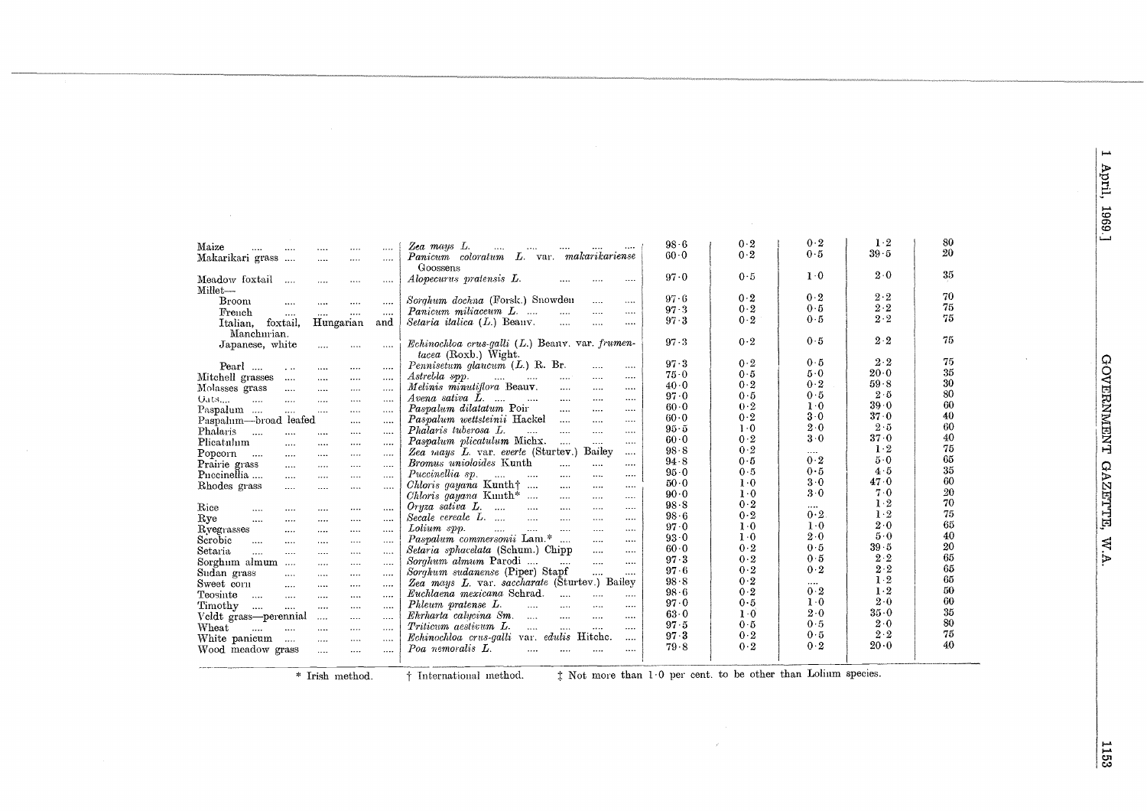1 April, 1969.]

|                                                                                 |                                                                                       | 98.6             | 0.2   | 0.2             | $1 \cdot 2$ | 80 |
|---------------------------------------------------------------------------------|---------------------------------------------------------------------------------------|------------------|-------|-----------------|-------------|----|
| Maize<br><br>$\cdots$<br><br>$\cdots$<br>$\cdots$                               | Zea mays L.<br>$\cdots$<br>$\cdots$<br>Panicum coloratum L. var. makarikariense       | $60-0$           | 0.2   | 0.5             | $39 - 5$    | 20 |
| Makarikari grass<br>$\cdots$<br>$\cdots$<br>$\cdots$<br>$\cdots$                |                                                                                       |                  |       |                 |             |    |
|                                                                                 | Goossens                                                                              | 97.0             | 0.5   | $1 \cdot 0$     | $2\cdot 0$  | 35 |
| Meadow foxtail<br>$\cdots$<br>$\cdots$<br>$\cdots$<br>$\cdots$                  | Alopecurus pratensis L.<br>$\cdots$                                                   |                  |       |                 |             |    |
| Millet-                                                                         | Sorghum dochna (Forsk.) Snowden                                                       | 97.6             | 0.2   | 0.2             | $2\cdot 2$  | 70 |
| <b>Broom</b><br>$\cdots$<br>$\cdots$<br>$\ldots$ .<br>$\cdots$                  | $\cdots$<br>                                                                          | 97.3             | 0.2   | 0.5             | $2 \cdot 2$ | 75 |
| French<br><br>$\cdots$<br>$\cdots$<br>$\cdots$                                  | Panicum miliaceum L.<br>$\ddotsc$<br>$\cdots$<br>$\cdots$                             | $97 - 3$         | 0.2   | 0.5             | $2 \cdot 2$ | 75 |
| foxtail.<br>Hungarian<br>and<br>Italian.                                        | Setaria italica $(L)$ Beanv.<br>$\ldots$<br>$\cdots$<br>$\cdots$                      |                  |       |                 |             |    |
| Manchurian.                                                                     |                                                                                       | $97 - 3$         | 0.2   | 0.5             | $2\cdot 2$  | 75 |
| Japanese, white<br>$\cdots$<br>$\cdots$<br>                                     | $Echnochloa$ crus-galli $(L.)$ Beany. var. frumen-                                    |                  |       |                 |             |    |
|                                                                                 | tacea (Roxb.) Wight.                                                                  | 97.3             | 0.2   | 0.5             | $2\cdot 2$  | 75 |
| Pearl<br>$\sim$<br>$\cdots$<br>$\cdots$<br>$\cdots$                             | Pennisetum glaucum $(L)$ R. Br.<br>$\cdots$<br>$\cdots$                               | 75.0             | 0.5   | $5-0$           | $20\cdot 0$ | 35 |
| Mitchell grasses<br>$\cdots$<br>$\cdots$<br>$\cdots$<br>$\cdots$                | Astrebla spp.<br>$\cdots$<br>$\cdots$<br>$\cdots$<br>$\cdots$                         | 40.0             | 0.2   | 0.2             | 59.8        | 30 |
| Molasses grass<br>$\cdots$<br>$\cdots$<br>$\cdots$<br>$\cdots$                  | Melinis minutiflora Beauv.<br><br>$\cdots$<br>$\cdots$                                | $97-0$           | 0.5   | 0.5             | $2-5$       | 80 |
| $U$ ats<br>$\cdots$<br>$\sim$ $\sim$ $\sim$<br>$\cdots$<br>$\cdots$<br>$\cdots$ | Avena sativa L.<br>$\sim$ $\sim$<br><br>$\cdots$<br>                                  | $60-0$           | 0.2   | 1.0             | $39 - 0$    | 60 |
| Paspalum<br>$\cdots$<br>$\cdots$<br>$\cdots$<br>$\cdots$                        | Paspalum dilatatum Poir<br>$\cdots$<br>$\cdots$<br>$\cdots$                           | $60-0$           | 0.2   | 3.0             | 37.0        | 40 |
| Paspalum-broad leafed<br>$\cdots$<br>$\cdots$                                   | Paspalum wettsteinii Hackel<br>$\cdots$<br>$\cdots$<br>$\cdots$                       | $95-5$           | $1-0$ | $2\cdot 0$      | $2-5$       | 60 |
| Phalaris<br>$\cdots$<br><br>$\cdots$<br>$\cdots$<br>$\cdots$                    | Phalaris tuberosa L.<br>$\cdots$<br>$\cdots$<br><br>$\cdots$                          | 60.0             | 0.2   | 3.0             | 37.0        | 40 |
| Plicatulum<br>$\cdots$<br>$\cdots$<br>$\cdots$<br>$\cdots$                      | Paspalum plicatulum Michx.<br>$\cdots$<br>$\cdots$<br>                                | $98 - 8$         | 0.2   |                 | $1-2$       | 75 |
| Popcorn<br>$\sim$<br>$\cdots$<br>$\cdots$<br>$\cdots$<br>$\cdots$               | Bailey<br>Zea mays L. var. everte (Sturtev.)<br>$\cdots$                              | 94.8             | 0.5   | <br>0.2         | $5-0$       | 65 |
| Prairie grass<br>$\cdots$<br>$\cdots$<br>$\cdots$<br>$\cdots$                   | Bromus unioloides Kunth<br><br>$\cdots$<br>$\cdots$                                   |                  | 0.5   | 0.5             | $4-5$       | 35 |
| Puccinellia<br>$\cdots$<br>$\cdots$<br>$\cdots$<br>$\cdots$                     | Puccinellia sp.<br>$\cdots$<br>$\cdots$<br>$\cdots$<br><br>$\cdots$                   | $95-0$<br>$50-0$ | $1-0$ | 3.0             | $47-0$      | 60 |
| Rhodes grass<br>$\cdots$<br>$\cdots$<br><br>$\cdots$                            | <i>Chloris gayana</i> Kunth $\dots$<br>$\cdots$<br><br>$\cdots$                       | $90 - 0$         | $1-0$ | 3.0             | 7.0         | 20 |
|                                                                                 | Chloris gayana Kunth*<br>$\cdots$<br>$\cdots$<br>$\cdots$                             | $98 - 8$         | 0.2   |                 | $1-2$       | 70 |
| Rice<br>$\cdots$<br>$\cdots$<br><br><br>                                        | Oryza sativa L.<br>$\sim$ 1000 $\sim$<br>$\cdots$<br>$\cdots$<br>$\cdots$<br>$\cdots$ |                  | 0.2   | $\cdots$<br>0.2 | $1-2$       | 75 |
| Rye<br>$\cdots$<br>$\cdots$<br><br><br>$\cdots$                                 | Secale cereale L.<br>$\cdots$<br>$\cdots$<br>$\cdots$<br>                             | $98-6$           | $1-0$ | $1 \cdot 0$     | 2.0         | 65 |
| Ryegrasses<br>$\ldots$ .<br><br>$\cdots$<br>$\cdots$                            | Lolium spp.<br>$\cdots$<br>$\cdots$<br><br>                                           | 97.0             | $1-0$ | 2.0             | 5.0         | 40 |
| Serobic<br>$\cdots$<br>$\cdots$<br>$\cdots$<br>$\cdots$<br>.                    | Paspalum commersonii Lam.*<br><br>$\cdots$                                            | $93 - 0$         | 0.2   | 0.5             | $39 - 5$    | 20 |
| Setana<br>$\cdots$<br>$\cdots$<br>$\cdots$<br><br>                              | Setaria sphacelata (Schum.) Chipp<br>$\cdots$<br>$\cdots$                             | $60-0$           | 0.2   | 0.5             | $2 \cdot 2$ | 65 |
| Sorghum almum<br>$\cdots$<br>$\cdots$<br>$\cdots$<br>                           | Sorghum almum Parodi<br>$\cdots$<br>$\cdots$<br>$\cdots$                              | 97.3             | 0.2   | 0.2             | $2 \cdot 2$ | 65 |
| Sudan grass<br>$\cdots$<br>$\cdots$<br>$\cdots$<br>$\cdots$                     | Sorghum sudanense (Piper) Stapf<br><br>                                               | $97 - 6$         |       |                 | 1.2         | 65 |
| Sweet corn<br>$\cdots$<br>$\cdots$<br>$\cdots$<br>$\cdots$                      | Zea mays L. var. saccharate (Sturtev.) Bailey                                         | $98 - 8$         | 0.2   | $\cdots$<br>0.2 | $1-2$       | 50 |
| Teosinte<br>$\sim$<br>$\cdots$<br>$\cdots$<br>$\cdots$<br>$\cdots$              | Euchlaena mexicana Sehrad.<br>$\cdots$<br>$\cdots$<br>                                | $98 - 6$         | 0.2   |                 | 2.0         | 60 |
| Timothy<br>$\cdots$<br>$\cdots$<br>$\cdots$<br>$\cdots$<br>$\cdots$             | Phleum pratense L.<br>$\cdots$<br>$\cdots$<br>$\cdots$<br>$\cdots$                    | 97.0             | 0.5   | $1 - 0$         |             | 35 |
| Veldt grass-perennial<br>$\cdots$<br>$\cdots$<br>$\cdots$                       | Ehrharta calucina Sm.<br>$\cdots$<br>$\cdots$<br>$\cdots$<br>$\cdots$                 | 63.0             | $1-0$ | $2\cdot 0$      | $35 - 0$    | 80 |
| Wheat<br><br>$\cdots$<br>$\cdots$<br>$\cdots$<br>$\cdots$                       | Triticum aestivum L.<br>$\cdots$<br>$\cdots$<br>$\cdots$<br>$\cdots$                  | 97.5             | 0.5   | 0.5             | $2\cdot 0$  |    |
| White panicum<br>$\sim$ $\sim$<br>$\sim$ $\sim$<br><br>$\cdots$                 | Echinochloa crus-galli var. edulis Hitche.<br>$\cdots$                                | $97 - 3$         | $0-2$ | $0-5$           | $2 \cdot 2$ | 75 |
| Wood meadow grass<br>$\cdots$<br><br>                                           | Poa nemoralis L.<br>$\cdots$<br>$\cdots$<br>$\cdots$<br>                              | 79.8             | $0-2$ | 0.2             | 20.0        | 40 |
|                                                                                 |                                                                                       |                  |       |                 |             |    |

\* Irish method.  $\dagger$  International method.  $\dagger$  Not more than 1.0 per cent. to be other than Lolium species.

 $\mathcal{A}^{\mathcal{A}}$ 

1153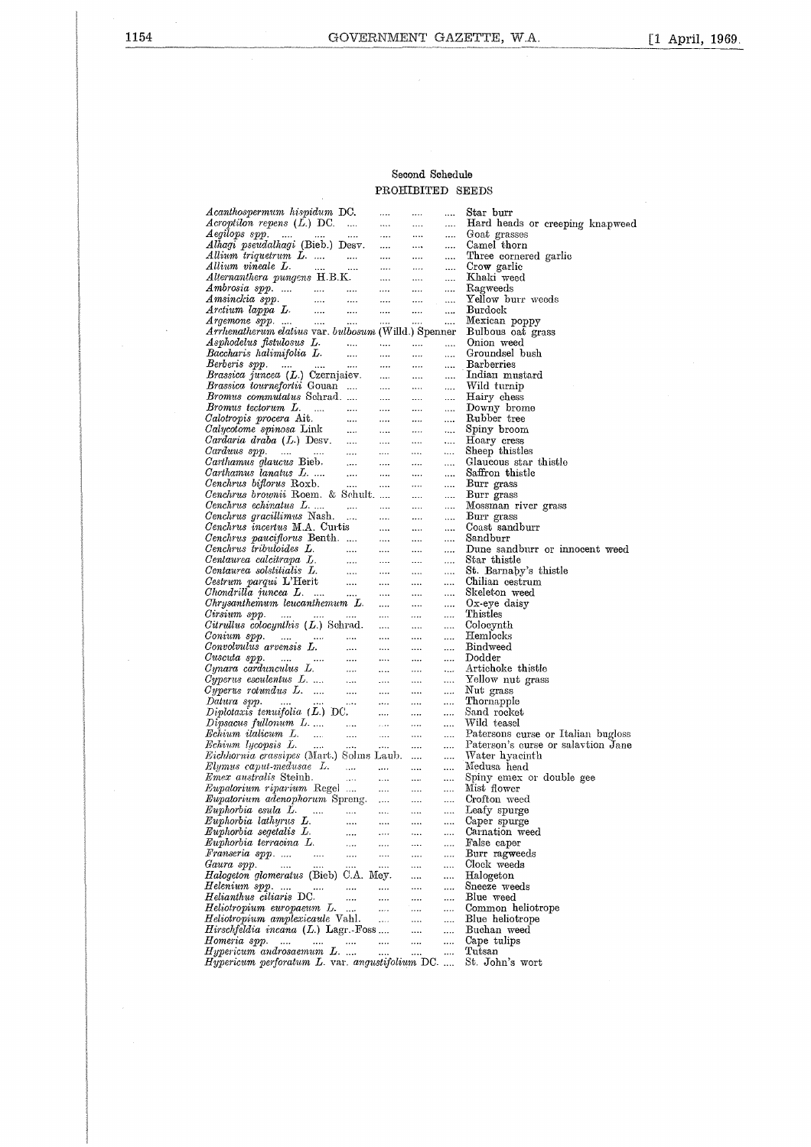### Second Schedule PROHIBITED SEEDS

| Acanthospermum hispidum DC.                                                                            | $\cdots$                                                                                                                                                                                                                                 | $\cdots$                                                                         |                               | Star burr                          |
|--------------------------------------------------------------------------------------------------------|------------------------------------------------------------------------------------------------------------------------------------------------------------------------------------------------------------------------------------------|----------------------------------------------------------------------------------|-------------------------------|------------------------------------|
| $Acryption$ repens $(L)$ DC.                                                                           | $\ldots$                                                                                                                                                                                                                                 | $\cdots$                                                                         | $\cdots$                      | Hard heads or creeping knapweed    |
|                                                                                                        |                                                                                                                                                                                                                                          |                                                                                  | $\sim 100$                    | Goat grasses                       |
| Aegilops spp.<br>Alhagi pseudalhagi (Bieb.) Desv.                                                      |                                                                                                                                                                                                                                          |                                                                                  |                               | Camel thorn                        |
| Allium triquetrum L.                                                                                   | $\begin{aligned} \frac{\partial \mathbf{m}}{\partial \mathbf{m}} &= \frac{\partial \mathbf{m}}{\partial \mathbf{m}} \\ \frac{\partial \mathbf{m}}{\partial \mathbf{m}} &= \frac{\partial \mathbf{m}}{\partial \mathbf{m}} \end{aligned}$ |                                                                                  | $\sim 100$                    | Three cornered garlic              |
| Allium vineale L.<br>and the state of                                                                  |                                                                                                                                                                                                                                          |                                                                                  | $\sim$ $\sim$                 | Crow garlie                        |
| Alternanthera pungens H.B.K.                                                                           | $\frac{1}{\sin^2\theta} = \frac{1}{\sin\theta} \frac{1}{\sin\theta}$                                                                                                                                                                     |                                                                                  | <b>Service</b>                | Khaki weed                         |
| $Ambrosia$ spp.                                                                                        | $\mathbf{m} = \mathbf{m}$                                                                                                                                                                                                                | <b>Sales</b>                                                                     | $\sim$ 1000 $\sim$            | Ragweeds                           |
|                                                                                                        | $\cdots$ .                                                                                                                                                                                                                               | $\mathbf{a} \mathbf{a} \mathbf{a} = \mathbf{a} \mathbf{a} \mathbf{a} \mathbf{a}$ |                               | Yellow burr weeds                  |
| Amsinckia spp.<br>Arctium lappa L.<br>Argemone spp.                                                    | $\mathbf{r}$ , $\mathbf{r}$ , $\mathbf{r}$                                                                                                                                                                                               | $\cdots$                                                                         | $\sim$ $\sim$                 | <b>Burdock</b>                     |
|                                                                                                        | $\cdots$                                                                                                                                                                                                                                 | $\cdots$                                                                         |                               | Mexican poppy                      |
| Arrhenatherum elatius var. bulbosum (Willd.) Spenner                                                   |                                                                                                                                                                                                                                          |                                                                                  |                               | Bulbous oat grass                  |
| Asphodelus fistulosus L.                                                                               |                                                                                                                                                                                                                                          |                                                                                  |                               | Onion weed                         |
|                                                                                                        | $\ldots$                                                                                                                                                                                                                                 | $\cdots$                                                                         | $\cdots$                      |                                    |
| Baccharis halimifolia L.<br>$\sim$ 1000 $\sim$                                                         | $\cdots$                                                                                                                                                                                                                                 | $\cdots$                                                                         | $\cdots$                      | Groundsel bush                     |
| Berberis spp.<br>Brassica juncea (L.) Czernjaiev.                                                      | $\cdots$                                                                                                                                                                                                                                 | $\cdots$                                                                         | $\cdots$                      | <b>Barberries</b>                  |
|                                                                                                        | <b>SALE</b>                                                                                                                                                                                                                              | $\sim 100$ km s $^{-1}$                                                          | $\sim$ $\sim$                 | Indian mustard                     |
| <i>Brassica tournefortii</i> Gouan                                                                     | $\ldots$ .                                                                                                                                                                                                                               | $\ldots$ .                                                                       | $\cdots$                      | Wild turnip                        |
| Bromus commutatus Schrad                                                                               | $\sim 10^{-10}$                                                                                                                                                                                                                          | $\frac{1}{100} \frac{1}{\sqrt{2}} \left( \frac{1}{2} \right)$                    | $\sim$ $\sim$                 | Hairy chess                        |
| Bromus tectorum L.<br>المستنب المسار                                                                   | $\cdots$ .                                                                                                                                                                                                                               |                                                                                  | $\cdots$                      | Downy brome                        |
|                                                                                                        | <b>Service</b>                                                                                                                                                                                                                           | $\ldots$ .                                                                       | $\cdots$                      | Rubber tree                        |
|                                                                                                        | $\sigma_{\rm{max}}$                                                                                                                                                                                                                      |                                                                                  | $\ldots$                      | Spiny broom                        |
|                                                                                                        |                                                                                                                                                                                                                                          | $\frac{1}{100}$                                                                  | $\cdots$                      | Hoary cress                        |
| Carduus spp.<br>Carthamus glaucus Bieb.<br>Carthamus lanatus L.<br>Cenchrus biflorus Roxb.             |                                                                                                                                                                                                                                          | $\cdots$                                                                         | $\sim 100$                    | Sheep thistles                     |
|                                                                                                        | <b>Service</b>                                                                                                                                                                                                                           | <b>Season</b>                                                                    | $\cdots$                      | Glaucous star thistle              |
|                                                                                                        | $\sim 100$ km s $^{-1}$                                                                                                                                                                                                                  | $\cdots$                                                                         | $\cdots$                      | Saffron thistle                    |
|                                                                                                        |                                                                                                                                                                                                                                          |                                                                                  | $\cdots$                      | Burr grass                         |
| Cenchrus brownii Roem. & Schult                                                                        |                                                                                                                                                                                                                                          | $\cdots$                                                                         |                               | Burr grass                         |
|                                                                                                        |                                                                                                                                                                                                                                          | $\ldots$ .                                                                       | $\cdots$                      |                                    |
|                                                                                                        |                                                                                                                                                                                                                                          | $\cdots$                                                                         | $\cdots$                      | Mossman river grass                |
| Cenchrus gracillimus Nash.<br>$\sim 10^{-10}$                                                          | $\mathbf{1},\mathbf{1},\mathbf{1},\ldots$                                                                                                                                                                                                | $\cdots$                                                                         | $\cdots$                      | Burr grass                         |
| <i>Cenchrus incertus</i> M.A. Curtis                                                                   | $\ldots$ .                                                                                                                                                                                                                               | $\ldots$ .                                                                       | $\cdots$                      | Coast sandburr                     |
| Cenchrus pauciflorus Benth.                                                                            | $\mathbf{1},\mathbf{2},\mathbf{3},\mathbf{4}$                                                                                                                                                                                            | $\cdots$                                                                         | $\sim 100$                    | Sandburr                           |
| Cenchrus tribuloides L.                                                                                | $\sim$ $\sim$                                                                                                                                                                                                                            | $\cdots$                                                                         | $\cdots$                      | Dune sandburr or innocent weed     |
|                                                                                                        | $\cdots$                                                                                                                                                                                                                                 | $\cdots$                                                                         | <b>Seattle</b>                | Star thistle                       |
|                                                                                                        | $\cdots$                                                                                                                                                                                                                                 | $\cdots$                                                                         | $\Delta\Delta\Delta\Delta$    | St. Barnaby's thistle              |
| Centaurea calcitrapa L.<br>Centaurea solstitialis L.<br>Cestrum parqui L'Herit<br>Chomdrilla juncea L. | $\sim$ $\sim$                                                                                                                                                                                                                            | $\ldots$ .                                                                       | $\mathbf{1}$ and $\mathbf{1}$ | Chilian cestrum                    |
|                                                                                                        | $\cdots$                                                                                                                                                                                                                                 | $\ldots$                                                                         | $\cdots$                      | Skeleton weed                      |
| Chrysanthemum leucanthemum L.                                                                          | $\cdots$                                                                                                                                                                                                                                 | $\cdots$                                                                         | $\ldots$ .                    | $Ox$ -eye daisy                    |
| Cirsium spp.                                                                                           | $\mathbf{r}$ , $\mathbf{r}$ , $\mathbf{r}$                                                                                                                                                                                               | $\cdots$                                                                         | $\ldots$                      | Thistles                           |
| Citrullus colocynthis $(L)$ Schrad.                                                                    | $\cdots$                                                                                                                                                                                                                                 | $\cdots$                                                                         | $\cdots$                      | Colocynth                          |
| Сопіит зрр.<br>المستحدث السواري وسند                                                                   | $\cdots$                                                                                                                                                                                                                                 | $\cdots$                                                                         | $\ldots$ .                    | Hemlocks                           |
| Convolvulus arvensis L.                                                                                |                                                                                                                                                                                                                                          | $\cdots$                                                                         | $\cdots$                      | Bindweed                           |
|                                                                                                        | $\ldots$ .                                                                                                                                                                                                                               |                                                                                  |                               | Dodder                             |
|                                                                                                        |                                                                                                                                                                                                                                          | $\cdots$                                                                         | $\cdots$                      | Artichoke thistle                  |
|                                                                                                        |                                                                                                                                                                                                                                          | $\cdots$                                                                         | $\ldots$                      |                                    |
|                                                                                                        |                                                                                                                                                                                                                                          | $\cdots$                                                                         | $\ldots$                      | Yellow nut grass                   |
|                                                                                                        |                                                                                                                                                                                                                                          | $\cdots$                                                                         | $\ldots$                      | Nut grass                          |
|                                                                                                        |                                                                                                                                                                                                                                          | $\cdots$                                                                         | $\cdots$                      | Thornapple                         |
|                                                                                                        |                                                                                                                                                                                                                                          | $\cdots$                                                                         | $\cdots$                      | Sand rocket                        |
| $Dipsacus\ full onum\ L.\ldots$                                                                        | $\sim$                                                                                                                                                                                                                                   |                                                                                  |                               | Wild teasel                        |
| Echium italicum L.<br>Echium lycopsis L.                                                               | $\ldots$                                                                                                                                                                                                                                 | $\cdots$                                                                         | $\cdots$                      | Patersons curse or Italian bugloss |
| $\mathbf{r}_1, \mathbf{r}_2, \ldots, \mathbf{r}_n$                                                     | $\sim 100$ km s $^{-1}$                                                                                                                                                                                                                  | $\mathbf{r}$ , $\mathbf{r}$ , $\mathbf{r}$                                       |                               | Paterson's curse or salaytion Jane |
| <i>Eichhornia crassipes</i> (Mart.) Solms Laub.                                                        |                                                                                                                                                                                                                                          |                                                                                  | $\cdots$                      | Water hyacinth                     |
| $Elymus\ caput-medusae\ L.\ \dots \ \dots \ \dots$                                                     |                                                                                                                                                                                                                                          |                                                                                  | $\cdots$                      | Medusa head                        |
|                                                                                                        | المتبر المنتقل                                                                                                                                                                                                                           |                                                                                  | $\cdots$                      | Spiny emex or double gee           |
| Emex australis Steinh.<br>Eupatorium riparium Regel<br>Eupatorium adenophorum Spreng.                  |                                                                                                                                                                                                                                          | $\mathbf{r}$ , $\mathbf{r}$ , $\mathbf{r}$ , $\mathbf{r}$                        |                               | Mist flower                        |
|                                                                                                        |                                                                                                                                                                                                                                          | $\cdots$                                                                         | $\cdots$                      | Crofton weed                       |
| $Euphorbia$ esula $L$ .                                                                                |                                                                                                                                                                                                                                          |                                                                                  |                               | Leafy spurge                       |
| Euphorbia lathyrus L.                                                                                  |                                                                                                                                                                                                                                          |                                                                                  |                               | Caper spurge                       |
| $\cdots$                                                                                               | $\cdots$                                                                                                                                                                                                                                 |                                                                                  |                               |                                    |
| Euphorbia segetalis L.<br>                                                                             | $\ldots$                                                                                                                                                                                                                                 |                                                                                  | $\cdots$                      | Carnation weed                     |
| Euphorbia terracina L.<br>                                                                             |                                                                                                                                                                                                                                          | $\cdots$                                                                         |                               | False caper                        |
| Franseria spp.<br>$\sim$ 100 $\mu$<br>$\ldots$                                                         |                                                                                                                                                                                                                                          | $\cdots$                                                                         |                               | Burr ragweeds                      |
| Gaura spp.<br>$\sim$ 1000 $\sim$<br>$\cdots$<br>                                                       |                                                                                                                                                                                                                                          |                                                                                  |                               | Clock weeds                        |
| <i>Halogeton glomeratus</i> (Bieb) C.A. Mey.                                                           |                                                                                                                                                                                                                                          |                                                                                  |                               | Halogeton                          |
| Helenium spp.<br>$\ldots$                                                                              |                                                                                                                                                                                                                                          | $\cdots$                                                                         |                               | Sneeze weeds                       |
| Helianthus ciliaris DC.<br>$\cdots$                                                                    |                                                                                                                                                                                                                                          |                                                                                  | $\cdots$                      | Blue weed                          |
| Heliotropium europaeum L.<br>$\cdots$                                                                  | $\cdots$                                                                                                                                                                                                                                 |                                                                                  |                               | Common heliotrope                  |
| Heliotropium amplexicaule Vahl.                                                                        | $\ldots$                                                                                                                                                                                                                                 |                                                                                  |                               | Blue heliotrope                    |
| Hirschfeldia incana (L.) Lagr.-Foss                                                                    |                                                                                                                                                                                                                                          |                                                                                  |                               | Buchan weed                        |
| Homeria spp.<br>$\cdots$<br>$\cdots$<br>$\cdots$                                                       | $\cdots$                                                                                                                                                                                                                                 |                                                                                  |                               | Cape tulips                        |
| Hypericum androsaemum L.                                                                               | $\cdots$                                                                                                                                                                                                                                 |                                                                                  |                               | Tutsan                             |
| Hypericum perforatum L. var. angustifolium DC.                                                         |                                                                                                                                                                                                                                          |                                                                                  |                               | St. John's wort                    |
|                                                                                                        |                                                                                                                                                                                                                                          |                                                                                  |                               |                                    |

 $\sim$